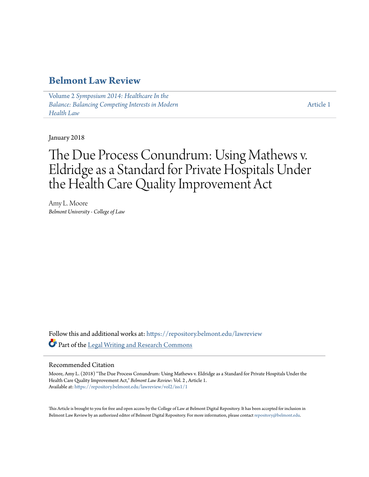### **[Belmont Law Review](https://repository.belmont.edu/lawreview?utm_source=repository.belmont.edu%2Flawreview%2Fvol2%2Fiss1%2F1&utm_medium=PDF&utm_campaign=PDFCoverPages)**

Volume 2 *[Symposium 2014: Healthcare In the](https://repository.belmont.edu/lawreview/vol2?utm_source=repository.belmont.edu%2Flawreview%2Fvol2%2Fiss1%2F1&utm_medium=PDF&utm_campaign=PDFCoverPages) [Balance: Balancing Competing Interests in Modern](https://repository.belmont.edu/lawreview/vol2?utm_source=repository.belmont.edu%2Flawreview%2Fvol2%2Fiss1%2F1&utm_medium=PDF&utm_campaign=PDFCoverPages) [Health Law](https://repository.belmont.edu/lawreview/vol2?utm_source=repository.belmont.edu%2Flawreview%2Fvol2%2Fiss1%2F1&utm_medium=PDF&utm_campaign=PDFCoverPages)*

[Article 1](https://repository.belmont.edu/lawreview/vol2/iss1/1?utm_source=repository.belmont.edu%2Flawreview%2Fvol2%2Fiss1%2F1&utm_medium=PDF&utm_campaign=PDFCoverPages)

January 2018

# The Due Process Conundrum: Using Mathews v. Eldridge as a Standard for Private Hospitals Under the Health Care Quality Improvement Act

Amy L. Moore *Belmont University - College of Law*

Follow this and additional works at: [https://repository.belmont.edu/lawreview](https://repository.belmont.edu/lawreview?utm_source=repository.belmont.edu%2Flawreview%2Fvol2%2Fiss1%2F1&utm_medium=PDF&utm_campaign=PDFCoverPages) Part of the [Legal Writing and Research Commons](http://network.bepress.com/hgg/discipline/614?utm_source=repository.belmont.edu%2Flawreview%2Fvol2%2Fiss1%2F1&utm_medium=PDF&utm_campaign=PDFCoverPages)

#### Recommended Citation

Moore, Amy L. (2018) "The Due Process Conundrum: Using Mathews v. Eldridge as a Standard for Private Hospitals Under the Health Care Quality Improvement Act," *Belmont Law Review*: Vol. 2 , Article 1. Available at: [https://repository.belmont.edu/lawreview/vol2/iss1/1](https://repository.belmont.edu/lawreview/vol2/iss1/1?utm_source=repository.belmont.edu%2Flawreview%2Fvol2%2Fiss1%2F1&utm_medium=PDF&utm_campaign=PDFCoverPages)

This Article is brought to you for free and open access by the College of Law at Belmont Digital Repository. It has been accepted for inclusion in Belmont Law Review by an authorized editor of Belmont Digital Repository. For more information, please contact [repository@belmont.edu.](mailto:repository@belmont.edu)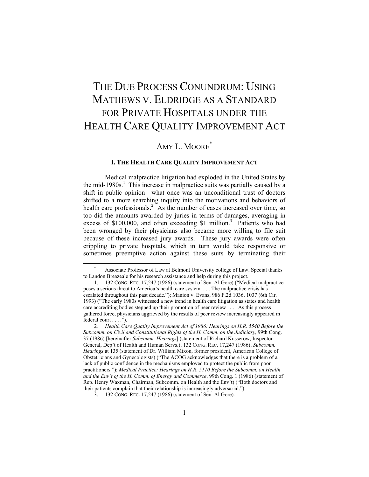## THE DUE PROCESS CONUNDRUM: USING MATHEWS V. ELDRIDGE AS A STANDARD FOR PRIVATE HOSPITALS UNDER THE HEALTH CARE QUALITY IMPROVEMENT ACT

## AMY L. MOORE<sup>\*</sup>

#### **I. THE HEALTH CARE QUALITY IMPROVEMENT ACT**

Medical malpractice litigation had exploded in the United States by the mid-1980s.<sup>1</sup> This increase in malpractice suits was partially caused by a shift in public opinion—what once was an unconditional trust of doctors shifted to a more searching inquiry into the motivations and behaviors of health care professionals.<sup>2</sup> As the number of cases increased over time, so too did the amounts awarded by juries in terms of damages, averaging in excess of \$100,000, and often exceeding \$1 million.<sup>3</sup> Patients who had been wronged by their physicians also became more willing to file suit because of these increased jury awards. These jury awards were often crippling to private hospitals, which in turn would take responsive or sometimes preemptive action against these suits by terminating their

Associate Professor of Law at Belmont University college of Law. Special thanks to Landon Breazeale for his research assistance and help during this project.

 <sup>1. 132</sup> CONG. REC. 17,247 (1986) (statement of Sen. Al Gore) ("Medical malpractice poses a serious threat to America's health care system. . . . The malpractice crisis has escalated throughout this past decade."); Manion v. Evans, 986 F.2d 1036, 1037 (6th Cir. 1993) ("The early 1980s witnessed a new trend in health care litigation as states and health care accrediting bodies stepped up their promotion of peer review . . . . As this process gathered force, physicians aggrieved by the results of peer review increasingly appeared in federal court . . . .").

<sup>2</sup>*. Health Care Quality Improvement Act of 1986: Hearings on H.R. 5540 Before the Subcomm. on Civil and Constitutional Rights of the H. Comm. on the Judiciary*, 99th Cong. 37 (1986) [hereinafter *Subcomm. Hearings*] (statement of Richard Kusserow, Inspector General, Dep't of Health and Human Servs.); 132 CONG. REC. 17,247 (1986); *Subcomm. Hearings* at 135 (statement of Dr. William Mixon, former president, American College of Obstetricians and Gynecologists) ("The ACOG acknowledges that there is a problem of a lack of public confidence in the mechanisms employed to protect the public from poor practitioners."); *Medical Practice: Hearings on H.R. 5110 Before the Subcomm. on Health and the Env't of the H. Comm. of Energy and Commerce*, 99th Cong. 1 (1986) (statement of Rep. Henry Waxman, Chairman, Subcomm. on Health and the Env't) ("Both doctors and their patients complain that their relationship is increasingly adversarial.").

 <sup>3. 132</sup> CONG. REC. 17,247 (1986) (statement of Sen. Al Gore).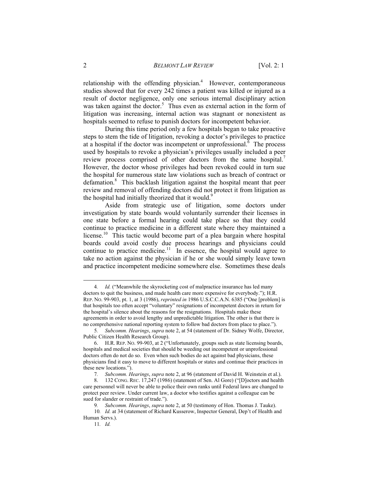relationship with the offending physician.<sup>4</sup> However, contemporaneous studies showed that for every 242 times a patient was killed or injured as a result of doctor negligence, only one serious internal disciplinary action was taken against the doctor.<sup>5</sup> Thus even as external action in the form of litigation was increasing, internal action was stagnant or nonexistent as hospitals seemed to refuse to punish doctors for incompetent behavior.

During this time period only a few hospitals began to take proactive steps to stem the tide of litigation, revoking a doctor's privileges to practice at a hospital if the doctor was incompetent or unprofessional.  $\overline{6}$  The process used by hospitals to revoke a physician's privileges usually included a peer review process comprised of other doctors from the same hospital.<sup>7</sup> However, the doctor whose privileges had been revoked could in turn sue the hospital for numerous state law violations such as breach of contract or defamation.<sup>8</sup> This backlash litigation against the hospital meant that peer review and removal of offending doctors did not protect it from litigation as the hospital had initially theorized that it would.<sup>9</sup>

Aside from strategic use of litigation, some doctors under investigation by state boards would voluntarily surrender their licenses in one state before a formal hearing could take place so that they could continue to practice medicine in a different state where they maintained a license.<sup>10</sup> This tactic would become part of a plea bargain where hospital boards could avoid costly due process hearings and physicians could continue to practice medicine.<sup>11</sup> In essence, the hospital would agree to take no action against the physician if he or she would simply leave town and practice incompetent medicine somewhere else. Sometimes these deals

 <sup>4</sup>*. Id.* ("Meanwhile the skyrocketing cost of malpractice insurance has led many doctors to quit the business, and made health care more expensive for everybody."); H.R. REP. NO. 99-903, pt. 1, at 3 (1986), *reprinted in* 1986 U.S.C.C.A.N. 6385 ("One [problem] is that hospitals too often accept "voluntary" resignations of incompetent doctors in return for the hospital's silence about the reasons for the resignations. Hospitals make these agreements in order to avoid lengthy and unpredictable litigation. The other is that there is no comprehensive national reporting system to follow bad doctors from place to place.").

<sup>5</sup>*. Subcomm. Hearings*, *supra* note 2, at 54 (statement of Dr. Sidney Wolfe, Director, Public Citizen Health Research Group).

 <sup>6.</sup> H.R. REP. NO. 99-903, at 2 ("Unfortunately, groups such as state licensing boards, hospitals and medical societies that should be weeding out incompetent or unprofessional doctors often do not do so. Even when such bodies do act against bad physicians, these physicians find it easy to move to different hospitals or states and continue their practices in these new locations.").

<sup>7</sup>*. Subcomm. Hearings*, *supra* note 2, at 96 (statement of David H. Weinstein et al.).

 <sup>8. 132</sup> CONG. REC. 17,247 (1986) (statement of Sen. Al Gore) ("[D]octors and health care personnel will never be able to police their own ranks until Federal laws are changed to protect peer review. Under current law, a doctor who testifies against a colleague can be sued for slander or restraint of trade.").

<sup>9</sup>*. Subcomm. Hearings*, *supra* note 2, at 50 (testimony of Hon. Thomas J. Tauke).

<sup>10</sup>*. Id.* at 34 (statement of Richard Kusserow, Inspector General, Dep't of Health and Human Servs.).

<sup>11</sup>*. Id.*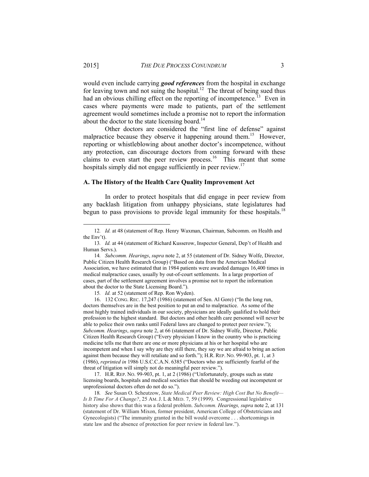would even include carrying *good references* from the hospital in exchange for leaving town and not suing the hospital.<sup>12</sup> The threat of being sued thus had an obvious chilling effect on the reporting of incompetence.<sup>13</sup> Even in cases where payments were made to patients, part of the settlement agreement would sometimes include a promise not to report the information about the doctor to the state licensing board.<sup>14</sup>

Other doctors are considered the "first line of defense" against malpractice because they observe it happening around them.<sup>15</sup> However, reporting or whistleblowing about another doctor's incompetence, without any protection, can discourage doctors from coming forward with these claims to even start the peer review process.<sup>16</sup> This meant that some hospitals simply did not engage sufficiently in peer review.<sup>17</sup>

#### **A. The History of the Health Care Quality Improvement Act**

In order to protect hospitals that did engage in peer review from any backlash litigation from unhappy physicians, state legislatures had begun to pass provisions to provide legal immunity for these hospitals.<sup>18</sup>

15*. Id.* at 52 (statement of Rep. Ron Wyden).

 16. 132 CONG. REC. 17,247 (1986) (statement of Sen. Al Gore) ("In the long run, doctors themselves are in the best position to put an end to malpractice. As some of the most highly trained individuals in our society, physicians are ideally qualified to hold their profession to the highest standard. But doctors and other health care personnel will never be able to police their own ranks until Federal laws are changed to protect peer review."); *Subcomm. Hearings*, *supra* note 2, at 66 (statement of Dr. Sidney Wolfe, Director, Public Citizen Health Research Group) ("Every physician I know in the country who is practicing medicine tells me that there are one or more physicians at his or her hospital who are incompetent and when I say why are they still there, they say we are afraid to bring an action against them because they will retaliate and so forth."); H.R. REP. NO. 99-903, pt. 1, at 3 (1986), *reprinted in* 1986 U.S.C.C.A.N. 6385 ("Doctors who are sufficiently fearful of the threat of litigation will simply not do meaningful peer review.").

 17. H.R. REP. NO. 99-903, pt. 1, at 2 (1986) ("Unfortunately, groups such as state licensing boards, hospitals and medical societies that should be weeding out incompetent or unprofessional doctors often do not do so.").

18*. See* Susan O. Scheutzow, *State Medical Peer Review: High Cost But No Benefit— Is It Time For A Change?*, 25 AM. J. L & MED. 7, 59 (1999). Congressional legislative history also shows that this was a federal problem. *Subcomm. Hearings, supra* note 2, at 131 (statement of Dr. William Mixon, former president, American College of Obstetricians and Gynecologists) ("The immunity granted in the bill would overcome . . . shortcomings in state law and the absence of protection for peer review in federal law.").

 <sup>12</sup>*. Id.* at 48 (statement of Rep. Henry Waxman, Chairman, Subcomm. on Health and the Env't).

<sup>13</sup>*. Id.* at 44 (statement of Richard Kusserow, Inspector General, Dep't of Health and Human Servs.).

<sup>14</sup>*. Subcomm. Hearings*, *supra* note 2, at 55 (statement of Dr. Sidney Wolfe, Director, Public Citizen Health Research Group) ("Based on data from the American Medical Association, we have estimated that in 1984 patients were awarded damages 16,400 times in medical malpractice cases, usually by out-of-court settlements. In a large proportion of cases, part of the settlement agreement involves a promise not to report the information about the doctor to the State Licensing Board.").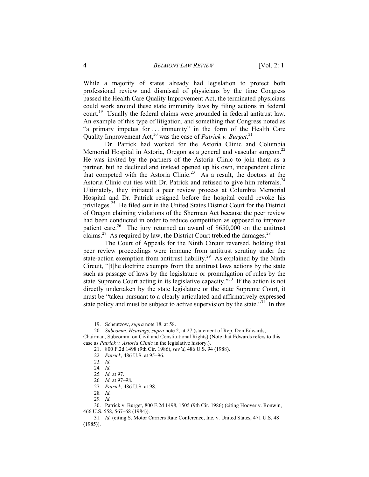While a majority of states already had legislation to protect both professional review and dismissal of physicians by the time Congress passed the Health Care Quality Improvement Act, the terminated physicians could work around these state immunity laws by filing actions in federal court.<sup>19</sup> Usually the federal claims were grounded in federal antitrust law. An example of this type of litigation, and something that Congress noted as "a primary impetus for . . . immunity" in the form of the Health Care Quality Improvement Act,<sup>20</sup> was the case of *Patrick v. Burget*.<sup>21</sup>

Dr. Patrick had worked for the Astoria Clinic and Columbia Memorial Hospital in Astoria, Oregon as a general and vascular surgeon.<sup>22</sup> He was invited by the partners of the Astoria Clinic to join them as a partner, but he declined and instead opened up his own, independent clinic that competed with the Astoria Clinic.<sup>23</sup> As a result, the doctors at the Astoria Clinic cut ties with Dr. Patrick and refused to give him referrals.<sup>24</sup> Ultimately, they initiated a peer review process at Columbia Memorial Hospital and Dr. Patrick resigned before the hospital could revoke his privileges.<sup>25</sup> He filed suit in the United States District Court for the District of Oregon claiming violations of the Sherman Act because the peer review had been conducted in order to reduce competition as opposed to improve patient care.<sup>26</sup> The jury returned an award of  $$650,000$  on the antitrust claims.<sup>27</sup> As required by law, the District Court trebled the damages.<sup>28</sup>

The Court of Appeals for the Ninth Circuit reversed, holding that peer review proceedings were immune from antitrust scrutiny under the state-action exemption from antitrust liability.<sup>29</sup> As explained by the Ninth Circuit, "[t]he doctrine exempts from the antitrust laws actions by the state such as passage of laws by the legislature or promulgation of rules by the state Supreme Court acting in its legislative capacity."30 If the action is not directly undertaken by the state legislature or the state Supreme Court, it must be "taken pursuant to a clearly articulated and affirmatively expressed state policy and must be subject to active supervision by the state.<sup>331</sup> In this

 <sup>19.</sup> Scheutzow, *supra* note 18, at 58.

<sup>20</sup>*. Subcomm. Hearings*, *supra* note 2, at 27 (statement of Rep. Don Edwards, Chairman, Subcomm. on Civil and Constitutional Rights) (Note that Edwards refers to this case as *Patrick v. Astoria Clinic* in the legislative history.).

 <sup>21. 800</sup> F.2d 1498 (9th Cir. 1986), *rev'd*, 486 U.S. 94 (1988).

<sup>22</sup>*. Patrick*, 486 U.S. at 95–96.

<sup>23</sup>*. Id.*

<sup>24</sup>*. Id.*

<sup>25</sup>*. Id.* at 97.

<sup>26</sup>*. Id.* at 97–98.

<sup>27</sup>*. Patrick*, 486 U.S. at 98.

<sup>28</sup>*. Id.*

<sup>29</sup>*. Id.*

 <sup>30.</sup> Patrick v. Burget, 800 F.2d 1498, 1505 (9th Cir. 1986) (citing Hoover v. Ronwin, 466 U.S. 558, 567–68 (1984)).

<sup>31</sup>*. Id.* (citing S. Motor Carriers Rate Conference, Inc. v. United States, 471 U.S. 48 (1985)).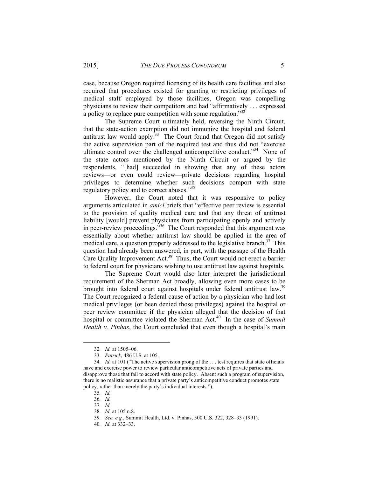case, because Oregon required licensing of its health care facilities and also required that procedures existed for granting or restricting privileges of medical staff employed by those facilities, Oregon was compelling physicians to review their competitors and had "affirmatively . . . expressed a policy to replace pure competition with some regulation."<sup>32</sup>

The Supreme Court ultimately held, reversing the Ninth Circuit, that the state-action exemption did not immunize the hospital and federal antitrust law would apply.<sup>33</sup> The Court found that Oregon did not satisfy the active supervision part of the required test and thus did not "exercise ultimate control over the challenged anticompetitive conduct."<sup>34</sup> None of the state actors mentioned by the Ninth Circuit or argued by the respondents, "[had] succeeded in showing that any of these actors reviews—or even could review—private decisions regarding hospital privileges to determine whether such decisions comport with state regulatory policy and to correct abuses."<sup>35</sup>

However, the Court noted that it was responsive to policy arguments articulated in *amici* briefs that "effective peer review is essential to the provision of quality medical care and that any threat of antitrust liability [would] prevent physicians from participating openly and actively in peer-review proceedings."36 The Court responded that this argument was essentially about whether antitrust law should be applied in the area of medical care, a question properly addressed to the legislative branch.<sup>37</sup> This question had already been answered, in part, with the passage of the Health Care Quality Improvement Act.<sup>38</sup> Thus, the Court would not erect a barrier to federal court for physicians wishing to use antitrust law against hospitals.

The Supreme Court would also later interpret the jurisdictional requirement of the Sherman Act broadly, allowing even more cases to be brought into federal court against hospitals under federal antitrust law.<sup>39</sup> The Court recognized a federal cause of action by a physician who had lost medical privileges (or been denied those privileges) against the hospital or peer review committee if the physician alleged that the decision of that hospital or committee violated the Sherman Act.<sup>40</sup> In the case of *Summit Health v. Pinhas*, the Court concluded that even though a hospital's main

 <sup>32</sup>*. Id.* at 1505–06.

<sup>33</sup>*. Patrick*, 486 U.S. at 105.

<sup>34</sup>*. Id.* at 101 ("The active supervision prong of the . . . test requires that state officials have and exercise power to review particular anticompetitive acts of private parties and disapprove those that fail to accord with state policy. Absent such a program of supervision, there is no realistic assurance that a private party's anticompetitive conduct promotes state policy, rather than merely the party's individual interests.").

<sup>35</sup>*. Id.*

<sup>36</sup>*. Id.*

<sup>37</sup>*. Id.*

<sup>38</sup>*. Id.* at 105 n.8.

<sup>39</sup>*. See, e.g.*, Summit Health, Ltd. v. Pinhas, 500 U.S. 322, 328–33 (1991).

<sup>40</sup>*. Id.* at 332–33.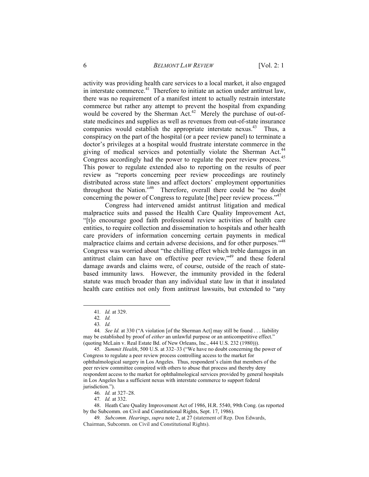activity was providing health care services to a local market, it also engaged in interstate commerce.<sup>41</sup> Therefore to initiate an action under antitrust law, there was no requirement of a manifest intent to actually restrain interstate commerce but rather any attempt to prevent the hospital from expanding would be covered by the Sherman Act.<sup>42</sup> Merely the purchase of out-ofstate medicines and supplies as well as revenues from out-of-state insurance companies would establish the appropriate interstate nexus.<sup>43</sup> Thus, a conspiracy on the part of the hospital (or a peer review panel) to terminate a doctor's privileges at a hospital would frustrate interstate commerce in the giving of medical services and potentially violate the Sherman Act.<sup>44</sup> Congress accordingly had the power to regulate the peer review process.<sup>45</sup> This power to regulate extended also to reporting on the results of peer review as "reports concerning peer review proceedings are routinely distributed across state lines and affect doctors' employment opportunities throughout the Nation."46 Therefore, overall there could be "no doubt concerning the power of Congress to regulate [the] peer review process."<sup>47</sup>

Congress had intervened amidst antitrust litigation and medical malpractice suits and passed the Health Care Quality Improvement Act, "[t]o encourage good faith professional review activities of health care entities, to require collection and dissemination to hospitals and other health care providers of information concerning certain payments in medical malpractice claims and certain adverse decisions, and for other purposes."<sup>48</sup> Congress was worried about "the chilling effect which treble damages in an antitrust claim can have on effective peer review,"49 and these federal damage awards and claims were, of course, outside of the reach of statebased immunity laws. However, the immunity provided in the federal statute was much broader than any individual state law in that it insulated health care entities not only from antitrust lawsuits, but extended to "any

 <sup>41</sup>*. Id.* at 329.

<sup>42</sup>*. Id.*

<sup>43</sup>*. Id.*

<sup>44</sup>*. See Id.* at 330 ("A violation [of the Sherman Act] may still be found . . . liability may be established by proof of *either* an unlawful purpose or an anticompetitive effect." (quoting McLain v. Real Estate Bd. of New Orleans, Inc., 444 U.S. 232 (1980))).

<sup>45</sup>*. Summit Health*, 500 U.S. at 332–33 ("We have no doubt concerning the power of Congress to regulate a peer review process controlling access to the market for ophthalmological surgery in Los Angeles. Thus, respondent's claim that members of the peer review committee conspired with others to abuse that process and thereby deny respondent access to the market for ophthalmological services provided by general hospitals in Los Angeles has a sufficient nexus with interstate commerce to support federal jurisdiction.").

<sup>46</sup>*. Id.* at 327–28.

<sup>47</sup>*. Id.* at 332.

 <sup>48.</sup> Heath Care Quality Improvement Act of 1986, H.R. 5540, 99th Cong. (as reported by the Subcomm. on Civil and Constitutional Rights, Sept. 17, 1986).

<sup>49</sup>*. Subcomm. Hearings*, *supra* note 2, at 27 (statement of Rep. Don Edwards, Chairman, Subcomm. on Civil and Constitutional Rights).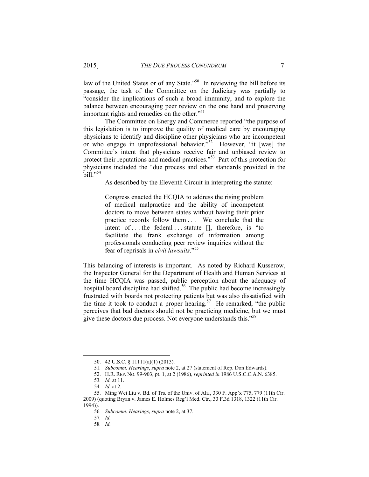law of the United States or of any State."<sup>50</sup> In reviewing the bill before its passage, the task of the Committee on the Judiciary was partially to "consider the implications of such a broad immunity, and to explore the balance between encouraging peer review on the one hand and preserving important rights and remedies on the other."<sup>51</sup>

The Committee on Energy and Commerce reported "the purpose of this legislation is to improve the quality of medical care by encouraging physicians to identify and discipline other physicians who are incompetent or who engage in unprofessional behavior.<sup> $552$ </sup> However, "it [was] the Committee's intent that physicians receive fair and unbiased review to protect their reputations and medical practices."53 Part of this protection for physicians included the "due process and other standards provided in the bill."<sup>54</sup>

As described by the Eleventh Circuit in interpreting the statute:

Congress enacted the HCQIA to address the rising problem of medical malpractice and the ability of incompetent doctors to move between states without having their prior practice records follow them . . . We conclude that the intent of ... the federal ... statute [], therefore, is "to facilitate the frank exchange of information among professionals conducting peer review inquiries without the fear of reprisals in *civil lawsuits*."<sup>55</sup>

This balancing of interests is important. As noted by Richard Kusserow, the Inspector General for the Department of Health and Human Services at the time HCQIA was passed, public perception about the adequacy of hospital board discipline had shifted.<sup>56</sup> The public had become increasingly frustrated with boards not protecting patients but was also dissatisfied with the time it took to conduct a proper hearing.<sup>57</sup> He remarked, "the public perceives that bad doctors should not be practicing medicine, but we must give these doctors due process. Not everyone understands this."58

 <sup>50. 42</sup> U.S.C. § 11111(a)(1) (2013).

<sup>51</sup>*. Subcomm. Hearings*, *supra* note 2, at 27 (statement of Rep. Don Edwards).

 <sup>52.</sup> H.R. REP. NO. 99-903, pt. 1, at 2 (1986), *reprinted in* 1986 U.S.C.C.A.N. 6385.

<sup>53</sup>*. Id.* at 11.

<sup>54</sup>*. Id.* at 2.

 <sup>55.</sup> Ming Wei Liu v. Bd. of Trs. of the Univ. of Ala*.*, 330 F. App'x 775, 779 (11th Cir. 2009) (quoting Bryan v. James E. Holmes Reg'l Med. Ctr., 33 F.3d 1318, 1322 (11th Cir.

<sup>1994)).</sup> 

<sup>56</sup>*. Subcomm. Hearings*, *supra* note 2, at 37.

<sup>57</sup>*. Id.*

<sup>58</sup>*. Id.*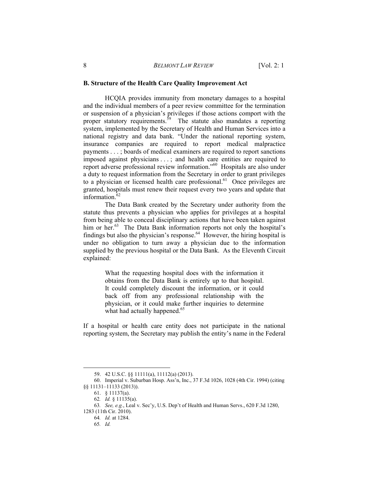#### **B. Structure of the Health Care Quality Improvement Act**

HCQIA provides immunity from monetary damages to a hospital and the individual members of a peer review committee for the termination or suspension of a physician's privileges if those actions comport with the proper statutory requirements.<sup>59</sup> The statute also mandates a reporting system, implemented by the Secretary of Health and Human Services into a national registry and data bank. "Under the national reporting system, insurance companies are required to report medical malpractice payments . . . ; boards of medical examiners are required to report sanctions imposed against physicians . . . ; and health care entities are required to report adverse professional review information."60 Hospitals are also under a duty to request information from the Secretary in order to grant privileges to a physician or licensed health care professional.<sup>61</sup> Once privileges are granted, hospitals must renew their request every two years and update that information. $62$ 

The Data Bank created by the Secretary under authority from the statute thus prevents a physician who applies for privileges at a hospital from being able to conceal disciplinary actions that have been taken against him or her.<sup>63</sup> The Data Bank information reports not only the hospital's findings but also the physician's response.<sup>64</sup> However, the hiring hospital is under no obligation to turn away a physician due to the information supplied by the previous hospital or the Data Bank. As the Eleventh Circuit explained:

> What the requesting hospital does with the information it obtains from the Data Bank is entirely up to that hospital. It could completely discount the information, or it could back off from any professional relationship with the physician, or it could make further inquiries to determine what had actually happened.<sup>65</sup>

If a hospital or health care entity does not participate in the national reporting system, the Secretary may publish the entity's name in the Federal

 <sup>59. 42</sup> U.S.C. §§ 11111(a), 11112(a) (2013).

 <sup>60.</sup> Imperial v. Suburban Hosp. Ass'n, Inc., 37 F.3d 1026, 1028 (4th Cir. 1994) (citing §§ 11131–11133 (2013)).

 <sup>61. § 11137(</sup>a).

<sup>62</sup>*. Id.* § 11135(a).

<sup>63</sup>*. See, e.g.*, Leal v. Sec'y, U.S. Dep't of Health and Human Servs., 620 F.3d 1280, 1283 (11th Cir. 2010).

<sup>64</sup>*. Id.* at 1284.

<sup>65</sup>*. Id.*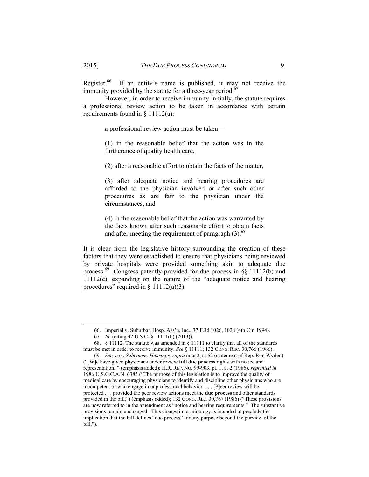Register.<sup>66</sup> If an entity's name is published, it may not receive the immunity provided by the statute for a three-year period.<sup>67</sup>

However, in order to receive immunity initially, the statute requires a professional review action to be taken in accordance with certain requirements found in  $\S$  11112(a):

a professional review action must be taken—

(1) in the reasonable belief that the action was in the furtherance of quality health care,

(2) after a reasonable effort to obtain the facts of the matter,

(3) after adequate notice and hearing procedures are afforded to the physician involved or after such other procedures as are fair to the physician under the circumstances, and

(4) in the reasonable belief that the action was warranted by the facts known after such reasonable effort to obtain facts and after meeting the requirement of paragraph  $(3)$ .<sup>68</sup>

It is clear from the legislative history surrounding the creation of these factors that they were established to ensure that physicians being reviewed by private hospitals were provided something akin to adequate due process.69 Congress patently provided for due process in §§ 11112(b) and 11112(c), expanding on the nature of the "adequate notice and hearing procedures" required in  $\S$  11112(a)(3).

 <sup>66.</sup> Imperial v. Suburban Hosp. Ass'n, Inc., 37 F.3d 1026, 1028 (4th Cir. 1994).

<sup>67</sup>*. Id.* (citing 42 U.S.C. § 11111(b) (2013)).

 <sup>68. § 11112.</sup> The statute was amended in § 11111 to clarify that all of the standards must be met in order to receive immunity. *See* § 11111; 132 CONG. REC. 30,766 (1986).

<sup>69</sup>*. See, e.g.*, *Subcomm. Hearings, supra* note 2, at 52 (statement of Rep. Ron Wyden) ("[W]e have given physicians under review **full due process** rights with notice and representation.") (emphasis added); H.R. REP. NO. 99-903, pt. 1, at 2 (1986), *reprinted in* 1986 U.S.C.C.A.N. 6385 ("The purpose of this legislation is to improve the quality of medical care by encouraging physicians to identify and discipline other physicians who are incompetent or who engage in unprofessional behavior. . . . [P]eer review will be protected . . . provided the peer review actions meet the **due process** and other standards provided in the bill.") (emphasis added); 132 CONG. REC. 30,767 (1986) ("These provisions are now referred to in the amendment as "notice and hearing requirements." The substantive provisions remain unchanged. This change in terminology is intended to preclude the implication that the bill defines "due process" for any purpose beyond the purview of the bill.").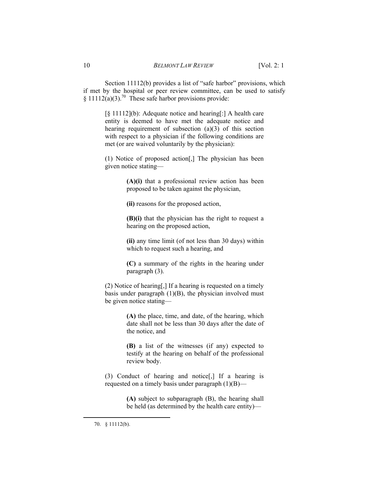Section 11112(b) provides a list of "safe harbor" provisions, which if met by the hospital or peer review committee, can be used to satisfy § 11112(a)(3).<sup>70</sup> These safe harbor provisions provide:

> [§ 11112](b): Adequate notice and hearing[:] A health care entity is deemed to have met the adequate notice and hearing requirement of subsection (a)(3) of this section with respect to a physician if the following conditions are met (or are waived voluntarily by the physician):

> (1) Notice of proposed action[,] The physician has been given notice stating—

> > **(A)(i)** that a professional review action has been proposed to be taken against the physician,

**(ii)** reasons for the proposed action,

**(B)(i)** that the physician has the right to request a hearing on the proposed action,

**(ii)** any time limit (of not less than 30 days) within which to request such a hearing, and

**(C)** a summary of the rights in the hearing under paragraph (3).

(2) Notice of hearing[,] If a hearing is requested on a timely basis under paragraph  $(1)(B)$ , the physician involved must be given notice stating—

> **(A)** the place, time, and date, of the hearing, which date shall not be less than 30 days after the date of the notice, and

> **(B)** a list of the witnesses (if any) expected to testify at the hearing on behalf of the professional review body.

(3) Conduct of hearing and notice[,] If a hearing is requested on a timely basis under paragraph (1)(B)—

> **(A)** subject to subparagraph (B), the hearing shall be held (as determined by the health care entity)—

 <sup>70. § 11112(</sup>b).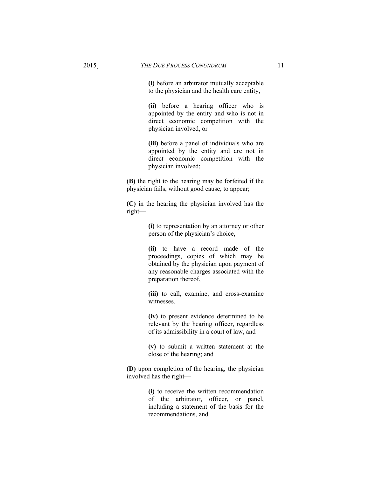**(i)** before an arbitrator mutually acceptable to the physician and the health care entity,

**(ii)** before a hearing officer who is appointed by the entity and who is not in direct economic competition with the physician involved, or

**(iii)** before a panel of individuals who are appointed by the entity and are not in direct economic competition with the physician involved;

**(B)** the right to the hearing may be forfeited if the physician fails, without good cause, to appear;

**(C)** in the hearing the physician involved has the right—

> **(i)** to representation by an attorney or other person of the physician's choice,

> **(ii)** to have a record made of the proceedings, copies of which may be obtained by the physician upon payment of any reasonable charges associated with the preparation thereof,

**(iii)** to call, examine, and cross-examine witnesses,

**(iv)** to present evidence determined to be relevant by the hearing officer, regardless of its admissibility in a court of law, and

**(v)** to submit a written statement at the close of the hearing; and

**(D)** upon completion of the hearing, the physician involved has the right—

> **(i)** to receive the written recommendation of the arbitrator, officer, or panel, including a statement of the basis for the recommendations, and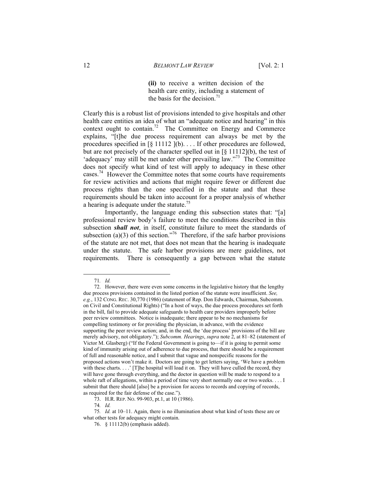**(ii)** to receive a written decision of the health care entity, including a statement of the basis for the decision.<sup>71</sup>

Clearly this is a robust list of provisions intended to give hospitals and other health care entities an idea of what an "adequate notice and hearing" in this context ought to contain.<sup>72</sup> The Committee on Energy and Commerce explains, "[t]he due process requirement can always be met by the procedures specified in [§ 11112 ](b). . . . If other procedures are followed, but are not precisely of the character spelled out in [§ 11112](b), the test of 'adequacy' may still be met under other prevailing law."<sup>73</sup> The Committee does not specify what kind of test will apply to adequacy in these other cases.74 However the Committee notes that some courts have requirements for review activities and actions that might require fewer or different due process rights than the one specified in the statute and that these requirements should be taken into account for a proper analysis of whether a hearing is adequate under the statute.<sup>75</sup>

Importantly, the language ending this subsection states that: "[a] professional review body's failure to meet the conditions described in this subsection *shall not*, in itself, constitute failure to meet the standards of subsection (a)(3) of this section."<sup>76</sup> Therefore, if the safe harbor provisions of the statute are not met, that does not mean that the hearing is inadequate under the statute. The safe harbor provisions are mere guidelines, not requirements. There is consequently a gap between what the statute

 <sup>71</sup>*. Id.*

 <sup>72.</sup> However, there were even some concerns in the legislative history that the lengthy due process provisions contained in the listed portion of the statute were insufficient. *See, e.g.*, 132 CONG. REC. 30,770 (1986) (statement of Rep. Don Edwards, Chairman, Subcomm. on Civil and Constitutional Rights) ("In a host of ways, the due process procedures set forth in the bill, fail to provide adequate safeguards to health care providers improperly before peer review committees. Notice is inadequate; there appear to be no mechanisms for compelling testimony or for providing the physician, in advance, with the evidence supporting the peer review action; and, in the end, the 'due process' provisions of the bill are merely advisory, not obligatory."); *Subcomm. Hearings*, *supra* note 2, at 81–82 (statement of Victor M. Glasberg) ("If the Federal Government is going to—if it is going to permit some kind of immunity arising out of adherence to due process, that there should be a requirement of full and reasonable notice, and I submit that vague and nonspecific reasons for the proposed actions won't make it. Doctors are going to get letters saying, 'We have a problem with these charts. . . .' [T]he hospital will load it on. They will have culled the record, they will have gone through everything, and the doctor in question will be made to respond to a whole raft of allegations, within a period of time very short normally one or two weeks. . . . I submit that there should [also] be a provision for access to records and copying of records, as required for the fair defense of the case.").

 <sup>73.</sup> H.R. REP. NO. 99-903, pt.1, at 10 (1986).

<sup>74</sup>*. Id.*

<sup>75</sup>*. Id.* at 10–11. Again, there is no illumination about what kind of tests these are or what other tests for adequacy might contain.

 <sup>76. § 11112(</sup>b) (emphasis added).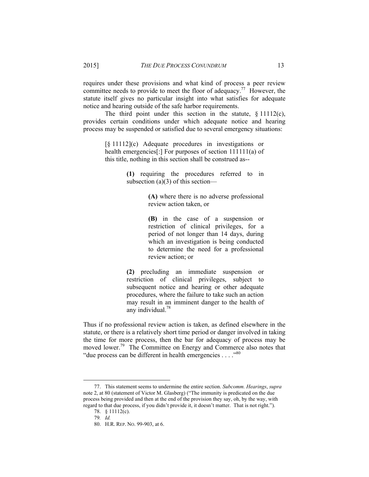requires under these provisions and what kind of process a peer review committee needs to provide to meet the floor of adequacy.77 However, the statute itself gives no particular insight into what satisfies for adequate notice and hearing outside of the safe harbor requirements.

The third point under this section in the statute,  $\S 11112(c)$ , provides certain conditions under which adequate notice and hearing process may be suspended or satisfied due to several emergency situations:

> [§ 11112](c) Adequate procedures in investigations or health emergencies<sup>[:]</sup> For purposes of section 111111(a) of this title, nothing in this section shall be construed as--

> > **(1)** requiring the procedures referred to in subsection (a)(3) of this section—

> > > **(A)** where there is no adverse professional review action taken, or

> > > **(B)** in the case of a suspension or restriction of clinical privileges, for a period of not longer than 14 days, during which an investigation is being conducted to determine the need for a professional review action; or

**(2)** precluding an immediate suspension or restriction of clinical privileges, subject to subsequent notice and hearing or other adequate procedures, where the failure to take such an action may result in an imminent danger to the health of any individual.<sup>78</sup>

Thus if no professional review action is taken, as defined elsewhere in the statute, or there is a relatively short time period or danger involved in taking the time for more process, then the bar for adequacy of process may be moved lower.<sup>79</sup> The Committee on Energy and Commerce also notes that "due process can be different in health emergencies . . . ."<sup>80</sup>

 <sup>77.</sup> This statement seems to undermine the entire section. *Subcomm. Hearings*, *supra* note 2, at 80 (statement of Victor M. Glasberg) ("The immunity is predicated on the due process being provided and then at the end of the provision they say, oh, by the way, with regard to that due process, if you didn't provide it, it doesn't matter. That is not right.").

 <sup>78. § 11112(</sup>c).

<sup>79</sup>*. Id.*

 <sup>80.</sup> H.R. REP. NO. 99-903, at 6.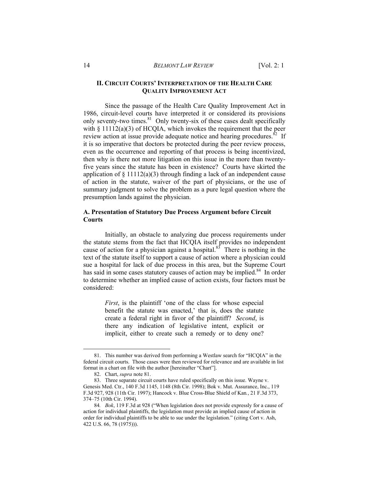#### **II. CIRCUIT COURTS' INTERPRETATION OF THE HEALTH CARE QUALITY IMPROVEMENT ACT**

Since the passage of the Health Care Quality Improvement Act in 1986, circuit-level courts have interpreted it or considered its provisions only seventy-two times. $81$  Only twenty-six of these cases dealt specifically with  $\S 11112(a)(3)$  of HCOIA, which invokes the requirement that the peer review action at issue provide adequate notice and hearing procedures.<sup>82</sup> If it is so imperative that doctors be protected during the peer review process, even as the occurrence and reporting of that process is being incentivized, then why is there not more litigation on this issue in the more than twentyfive years since the statute has been in existence? Courts have skirted the application of  $\S 11112(a)(3)$  through finding a lack of an independent cause of action in the statute, waiver of the part of physicians, or the use of summary judgment to solve the problem as a pure legal question where the presumption lands against the physician.

#### **A. Presentation of Statutory Due Process Argument before Circuit Courts**

Initially, an obstacle to analyzing due process requirements under the statute stems from the fact that HCQIA itself provides no independent cause of action for a physician against a hospital. $83^{\circ}$  There is nothing in the text of the statute itself to support a cause of action where a physician could sue a hospital for lack of due process in this area, but the Supreme Court has said in some cases statutory causes of action may be implied.<sup>84</sup> In order to determine whether an implied cause of action exists, four factors must be considered:

> *First*, is the plaintiff 'one of the class for whose especial benefit the statute was enacted,' that is, does the statute create a federal right in favor of the plaintiff? *Second*, is there any indication of legislative intent, explicit or implicit, either to create such a remedy or to deny one?

 <sup>81.</sup> This number was derived from performing a Westlaw search for "HCQIA" in the federal circuit courts. Those cases were then reviewed for relevance and are available in list format in a chart on file with the author [hereinafter "Chart"].

 <sup>82.</sup> Chart, *supra* note 81.

 <sup>83.</sup> Three separate circuit courts have ruled specifically on this issue. Wayne v. Genesis Med. Ctr., 140 F.3d 1145, 1148 (8th Cir. 1998); Bok v. Mut. Assurance, Inc., 119 F.3d 927, 928 (11th Cir. 1997); Hancock v. Blue Cross-Blue Shield of Kan*.*, 21 F.3d 373, 374–75 (10th Cir. 1994).

<sup>84</sup>*. Bok*, 119 F.3d at 928 ("When legislation does not provide expressly for a cause of action for individual plaintiffs, the legislation must provide an implied cause of action in order for individual plaintiffs to be able to sue under the legislation." (citing Cort v. Ash, 422 U.S. 66, 78 (1975))).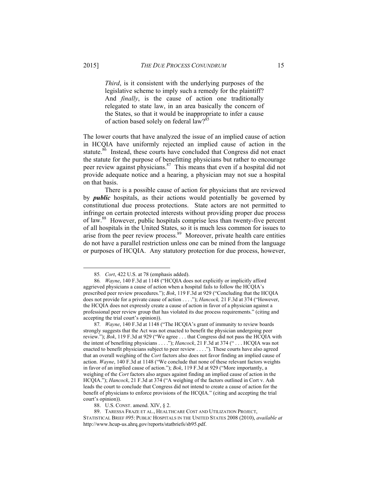*Third*, is it consistent with the underlying purposes of the legislative scheme to imply such a remedy for the plaintiff? And *finally*, is the cause of action one traditionally relegated to state law, in an area basically the concern of the States, so that it would be inappropriate to infer a cause of action based solely on federal law?<sup>85</sup>

The lower courts that have analyzed the issue of an implied cause of action in HCQIA have uniformly rejected an implied cause of action in the statute.<sup>86</sup> Instead, these courts have concluded that Congress did not enact the statute for the purpose of benefitting physicians but rather to encourage peer review against physicians.<sup>87</sup> This means that even if a hospital did not provide adequate notice and a hearing, a physician may not sue a hospital on that basis.

There is a possible cause of action for physicians that are reviewed by *public* hospitals, as their actions would potentially be governed by constitutional due process protections. State actors are not permitted to infringe on certain protected interests without providing proper due process of law.88 However, public hospitals comprise less than twenty-five percent of all hospitals in the United States, so it is much less common for issues to arise from the peer review process. $\frac{89}{ }$  Moreover, private health care entities do not have a parallel restriction unless one can be mined from the language or purposes of HCQIA. Any statutory protection for due process, however,

 <sup>85</sup>*. Cort*, 422 U.S. at 78 (emphasis added).

<sup>86</sup>*. Wayne*, 140 F.3d at 1148 ("HCQIA does not explicitly or implicitly afford aggrieved physicians a cause of action when a hospital fails to follow the HCQIA's prescribed peer review procedures."); *Bok*, 119 F.3d at 929 ("Concluding that the HCQIA does not provide for a private cause of action . . . ."); *Hancock,* 21 F.3d at 374 ("However, the HCQIA does not expressly create a cause of action in favor of a physician against a professional peer review group that has violated its due process requirements." (citing and accepting the trial court's opinion)).

<sup>87</sup>*. Wayne*, 140 F.3d at 1148 ("The HCQIA's grant of immunity to review boards strongly suggests that the Act was not enacted to benefit the physician undergoing peer review."); *Bok*, 119 F.3d at 929 ("We agree . . . that Congress did not pass the HCQIA with the intent of benefiting physicians . . . ."); *Hancock*, 21 F.3d at 374 (" . . . HCQIA was not enacted to benefit physicians subject to peer review . . . ."). These courts have also agreed that an overall weighing of the *Cort* factors also does not favor finding an implied cause of action. *Wayne*, 140 F.3d at 1148 ("We conclude that none of these relevant factors weights in favor of an implied cause of action."); *Bok*, 119 F.3d at 929 ("More importantly, a weighing of the *Cort* factors also argues against finding an implied cause of action in the HCQIA."); *Hancock*, 21 F.3d at 374 ("A weighing of the factors outlined in Cort v. Ash leads the court to conclude that Congress did not intend to create a cause of action for the benefit of physicians to enforce provisions of the HCQIA." (citing and accepting the trial court's opinion)).

 <sup>88.</sup> U.S. CONST. amend. XIV, § 2.

 <sup>89.</sup> TARESSA FRAZE ET AL., HEALTHCARE COST AND UTILIZATION PROJECT, STATISTICAL BRIEF #95: PUBLIC HOSPITALS IN THE UNITED STATES 2008 (2010), *available at* http://www.hcup-us.ahrq.gov/reports/statbriefs/sb95.pdf.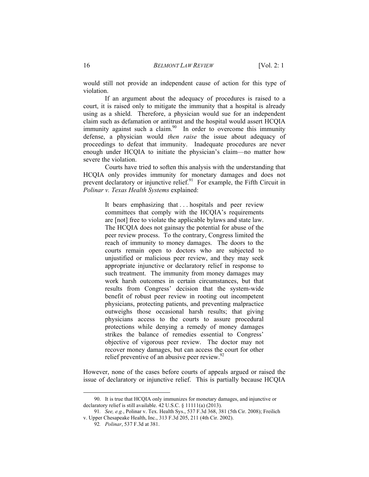would still not provide an independent cause of action for this type of violation.

If an argument about the adequacy of procedures is raised to a court, it is raised only to mitigate the immunity that a hospital is already using as a shield. Therefore, a physician would sue for an independent claim such as defamation or antitrust and the hospital would assert HCQIA immunity against such a claim.<sup>90</sup> In order to overcome this immunity defense, a physician would *then raise* the issue about adequacy of proceedings to defeat that immunity. Inadequate procedures are never enough under HCQIA to initiate the physician's claim—no matter how severe the violation.

Courts have tried to soften this analysis with the understanding that HCQIA only provides immunity for monetary damages and does not prevent declaratory or injunctive relief. $91$  For example, the Fifth Circuit in *Polinar v. Texas Health Systems* explained:

> It bears emphasizing that . . . hospitals and peer review committees that comply with the HCQIA's requirements are [not] free to violate the applicable bylaws and state law. The HCQIA does not gainsay the potential for abuse of the peer review process. To the contrary, Congress limited the reach of immunity to money damages. The doors to the courts remain open to doctors who are subjected to unjustified or malicious peer review, and they may seek appropriate injunctive or declaratory relief in response to such treatment. The immunity from money damages may work harsh outcomes in certain circumstances, but that results from Congress' decision that the system-wide benefit of robust peer review in rooting out incompetent physicians, protecting patients, and preventing malpractice outweighs those occasional harsh results; that giving physicians access to the courts to assure procedural protections while denying a remedy of money damages strikes the balance of remedies essential to Congress' objective of vigorous peer review. The doctor may not recover money damages, but can access the court for other relief preventive of an abusive peer review.<sup>92</sup>

However, none of the cases before courts of appeals argued or raised the issue of declaratory or injunctive relief. This is partially because HCQIA

 <sup>90.</sup> It is true that HCQIA only immunizes for monetary damages, and injunctive or declaratory relief is still available. 42 U.S.C. § 11111(a) (2013).

<sup>91</sup>*. See, e.g.*, Polinar v. Tex. Health Sys., 537 F.3d 368, 381 (5th Cir. 2008); Freilich v. Upper Chesapeake Health, Inc., 313 F.3d 205, 211 (4th Cir. 2002).

<sup>92</sup>*. Polinar*, 537 F.3d at 381.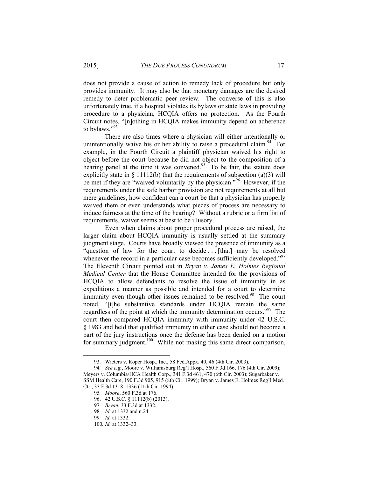does not provide a cause of action to remedy lack of procedure but only provides immunity. It may also be that monetary damages are the desired remedy to deter problematic peer review. The converse of this is also unfortunately true, if a hospital violates its bylaws or state laws in providing procedure to a physician, HCQIA offers no protection. As the Fourth Circuit notes, "[n]othing in HCQIA makes immunity depend on adherence to bylaws."93

There are also times where a physician will either intentionally or unintentionally waive his or her ability to raise a procedural claim.<sup>94</sup> For example, in the Fourth Circuit a plaintiff physician waived his right to object before the court because he did not object to the composition of a hearing panel at the time it was convened.<sup>95</sup> To be fair, the statute does explicitly state in  $\S$  11112(b) that the requirements of subsection (a)(3) will be met if they are "waived voluntarily by the physician."96 However, if the requirements under the safe harbor provision are not requirements at all but mere guidelines, how confident can a court be that a physician has properly waived them or even understands what pieces of process are necessary to induce fairness at the time of the hearing? Without a rubric or a firm list of requirements, waiver seems at best to be illusory.

Even when claims about proper procedural process are raised, the larger claim about HCQIA immunity is usually settled at the summary judgment stage. Courts have broadly viewed the presence of immunity as a "question of law for the court to decide . . . [that] may be resolved whenever the record in a particular case becomes sufficiently developed."<sup>97</sup> The Eleventh Circuit pointed out in *Bryan v. James E. Holmes Regional Medical Center* that the House Committee intended for the provisions of HCQIA to allow defendants to resolve the issue of immunity in as expeditious a manner as possible and intended for a court to determine immunity even though other issues remained to be resolved.<sup>98</sup> The court noted, "[t]he substantive standards under HCQIA remain the same regardless of the point at which the immunity determination occurs."<sup>99</sup> The court then compared HCQIA immunity with immunity under 42 U.S.C. § 1983 and held that qualified immunity in either case should not become a part of the jury instructions once the defense has been denied on a motion for summary judgment.<sup>100</sup> While not making this same direct comparison,

 <sup>93.</sup> Wieters v. Roper Hosp., Inc., 58 Fed.Appx. 40, 46 (4th Cir. 2003).

<sup>94</sup>*. See e.g.*, Moore v. Williamsburg Reg'l Hosp., 560 F.3d 166, 176 (4th Cir. 2009); Meyers v. Columbia/HCA Health Corp., 341 F.3d 461, 470 (6th Cir. 2003); Sugarbaker v. SSM Health Care, 190 F.3d 905, 915 (8th Cir. 1999); Bryan v. James E. Holmes Reg'l Med. Ctr., 33 F.3d 1318, 1336 (11th Cir. 1994).

<sup>95</sup>*. Moore*, 560 F.3d at 176.

 <sup>96. 42</sup> U.S.C. § 11112(b) (2013).

<sup>97</sup>*. Bryan*, 33 F.3d at 1332.

<sup>98</sup>*. Id.* at 1332 and n.24.

<sup>99</sup>*. Id.* at 1332.

<sup>100</sup>*. Id.* at 1332–33.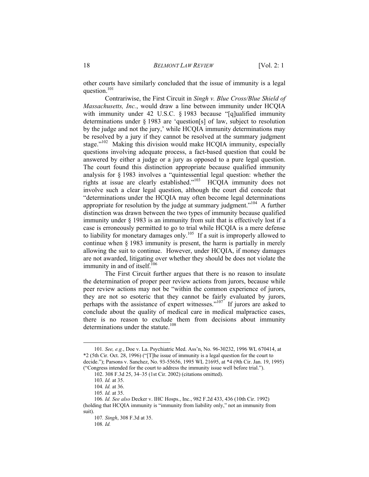other courts have similarly concluded that the issue of immunity is a legal question.<sup>101</sup>

Contrariwise, the First Circuit in *Singh v. Blue Cross/Blue Shield of Massachusetts, Inc.*, would draw a line between immunity under HCQIA with immunity under 42 U.S.C. § 1983 because "[q]ualified immunity determinations under § 1983 are 'question[s] of law, subject to resolution by the judge and not the jury,' while HCQIA immunity determinations may be resolved by a jury if they cannot be resolved at the summary judgment stage."<sup>102</sup> Making this division would make HCQIA immunity, especially questions involving adequate process, a fact-based question that could be answered by either a judge or a jury as opposed to a pure legal question. The court found this distinction appropriate because qualified immunity analysis for § 1983 involves a "quintessential legal question: whether the rights at issue are clearly established."103 HCQIA immunity does not involve such a clear legal question, although the court did concede that "determinations under the HCQIA may often become legal determinations appropriate for resolution by the judge at summary judgment."<sup>104</sup> A further distinction was drawn between the two types of immunity because qualified immunity under § 1983 is an immunity from suit that is effectively lost if a case is erroneously permitted to go to trial while HCQIA is a mere defense to liability for monetary damages only.<sup>105</sup> If a suit is improperly allowed to continue when § 1983 immunity is present, the harm is partially in merely allowing the suit to continue. However, under HCQIA, if money damages are not awarded, litigating over whether they should be does not violate the immunity in and of itself.<sup>106</sup>

The First Circuit further argues that there is no reason to insulate the determination of proper peer review actions from jurors, because while peer review actions may not be "within the common experience of jurors, they are not so esoteric that they cannot be fairly evaluated by jurors, perhaps with the assistance of expert witnesses."107 If jurors are asked to conclude about the quality of medical care in medical malpractice cases, there is no reason to exclude them from decisions about immunity determinations under the statute.<sup>108</sup>

 <sup>101</sup>*. See, e.g.*, Doe v. La. Psychiatric Med. Ass'n, No. 96-30232, 1996 WL 670414, at \*2 (5th Cir. Oct. 28, 1996) ("[T]he issue of immunity is a legal question for the court to decide."); Parsons v. Sanchez, No. 93-55656, 1995 WL 21695, at \*4 (9th Cir. Jan. 19, 1995) ("Congress intended for the court to address the immunity issue well before trial.").

 <sup>102. 308</sup> F.3d 25, 34–35 (1st Cir. 2002) (citations omitted).

<sup>103</sup>*. Id.* at 35.

<sup>104</sup>*. Id.* at 36.

<sup>105</sup>*. Id.* at 35.

<sup>106</sup>*. Id. See also* Decker v. IHC Hosps., Inc., 982 F.2d 433, 436 (10th Cir. 1992) (holding that HCQIA immunity is "immunity from liability only," not an immunity from suit).

<sup>107</sup>*. Singh*, 308 F.3d at 35.

<sup>108</sup>*. Id.*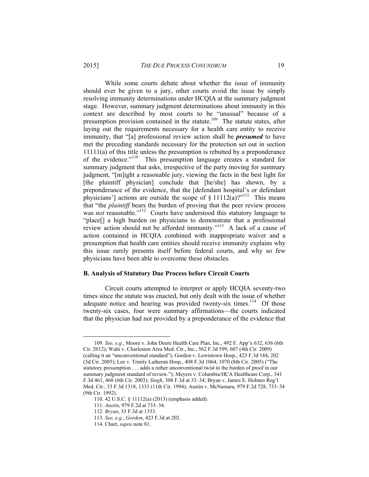While some courts debate about whether the issue of immunity should ever be given to a jury, other courts avoid the issue by simply resolving immunity determinations under HCQIA at the summary judgment stage. However, summary judgment determinations about immunity in this context are described by most courts to be "unusual" because of a presumption provision contained in the statute.<sup>109</sup> The statute states, after laying out the requirements necessary for a health care entity to receive immunity, that "[a] professional review action shall be *presumed* to have met the preceding standards necessary for the protection set out in section 11111(a) of this title unless the presumption is rebutted by a preponderance of the evidence."110 This presumption language creates a standard for summary judgment that asks, irrespective of the party moving for summary judgment, "[m]ight a reasonable jury, viewing the facts in the best light for [the plaintiff physician] conclude that [he/she] has shown, by a preponderance of the evidence, that the [defendant hospital's or defendant physicians'] actions are outside the scope of  $\S 11112(a)$ ?"<sup>111</sup> This means that "the *plaintiff* bears the burden of proving that the peer review process was *not* reasonable."<sup>112</sup> Courts have understood this statutory language to "place[] a high burden on physicians to demonstrate that a professional review action should not be afforded immunity."<sup>113</sup> A lack of a cause of action contained in HCQIA combined with inappropriate waiver and a presumption that health care entities should receive immunity explains why this issue rarely presents itself before federal courts, and why so few physicians have been able to overcome these obstacles.

#### **B. Analysis of Statutory Due Process before Circuit Courts**

Circuit courts attempted to interpret or apply HCQIA seventy-two times since the statute was enacted, but only dealt with the issue of whether adequate notice and hearing was provided twenty-six times.<sup>114</sup> Of those twenty-six cases, four were summary affirmations—the courts indicated that the physician had not provided by a preponderance of the evidence that

 <sup>109</sup>*. See, e.g.*, Moore v. John Deere Health Care Plan, Inc., 492 F. App'x 632, 636 (6th Cir. 2012); Wahi v. Charleston Area Med. Ctr., Inc., 562 F.3d 599, 607 (4th Cir. 2009) (calling it an "unconventional standard"); Gordon v. Lewistown Hosp., 423 F.3d 184, 202 (3d Cir. 2005); Lee v. Trinity Lutheran Hosp., 408 F.3d 1064, 1070 (8th Cir. 2005) ("The statutory presumption . . . adds a rather unconventional twist to the burden of proof in our summary judgment standard of review."); Meyers v. Columbia/HCA Healthcare Corp., 341 F.3d 461, 468 (6th Cir. 2003); *Singh*, 308 F.3d at 33–34; Bryan v. James E. Holmes Reg'l Med. Ctr., 33 F.3d 1318, 1333 (11th Cir. 1994); Austin v. McNamara, 979 F.2d 728, 733–34 (9th Cir. 1992).

 <sup>110. 42</sup> U.S.C. § 11112(a) (2013) (emphasis added).

<sup>111</sup>*. Austin*, 979 F.2d at 733–34.

<sup>112</sup>*. Bryan*, 33 F.3d at 1333.

<sup>113</sup>*. See, e.g.*, *Gordon*, 423 F.3d at 202.

 <sup>114.</sup> Chart, *supra* note 81.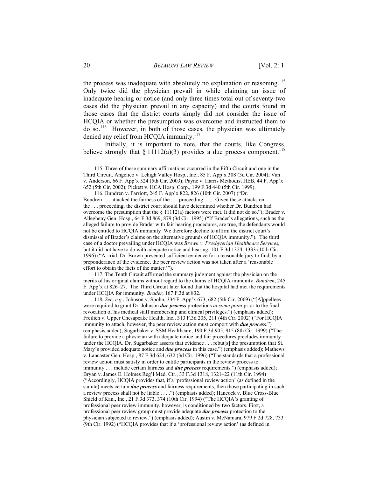the process was inadequate with absolutely no explanation or reasoning.<sup>115</sup> Only twice did the physician prevail in while claiming an issue of inadequate hearing or notice (and only three times total out of seventy-two cases did the physician prevail in any capacity) and the courts found in those cases that the district courts simply did not consider the issue of HCQIA or whether the presumption was overcome and instructed them to do so.116 However, in both of those cases, the physician was ultimately denied any relief from HCQIA immunity.<sup>117</sup>

Initially, it is important to note, that the courts, like Congress, believe strongly that  $\S 11112(a)(3)$  provides a due process component.<sup>118</sup>

 116. Bundren v. Parriott, 245 F. App'x 822, 826 (10th Cir. 2007) ("Dr. Bundren . . . attacked the fairness of the . . . proceeding . . . . Given these attacks on the . . . proceeding, the district court should have determined whether Dr. Bundren had overcome the presumption that the § 11112(a) factors were met. It did not do so."); Brader v. Allegheny Gen. Hosp., 64 F.3d 869, 879 (3d Cir. 1995) ("If Brader's allegations, such as the alleged failure to provide Brader with fair hearing procedures, are true, the defendants would not be entitled to HCQIA immunity We therefore decline to affirm the district court's dismissal of Brader's claims on the alternative grounds of HCQIA immunity."). The third case of a doctor prevailing under HCQIA was *Brown v. Presbyterian Healthcare Services,* but it did not have to do with adequate notice and hearing. 101 F.3d 1324, 1333 (10th Cir. 1996) ("At trial, Dr. Brown presented sufficient evidence for a reasonable jury to find, by a preponderance of the evidence, the peer review action was not taken after a 'reasonable effort to obtain the facts of the matter.'").

 117. The Tenth Circuit affirmed the summary judgment against the physician on the merits of his original claims without regard to the claims of HCQIA immunity. *Bundren*, 245 F. App'x at 826–27. The Third Circuit later found that the hospital had met the requirements under HCQIA for immunity. *Brader*, 167 F.3d at 832.

118*. See, e.g.*, Johnson v. Spohn, 334 F. App'x 673, 682 (5th Cir. 2009) ("[A]ppellees were required to grant Dr. Johnson *due process* protections *at some point* prior to the final revocation of his medical staff membership and clinical privileges.") (emphasis added); Freilich v. Upper Chesapeake Health, Inc., 313 F.3d 205, 211 (4th Cir. 2002) ("For HCQIA immunity to attach, however, the peer review action must comport with *due process*.") (emphasis added); Sugarbaker v. SSM Healthcare, 190 F.3d 905, 915 (8th Cir. 1999) ("The failure to provide a physician with adequate notice and fair procedures precludes immunity under the HCQIA. Dr. Sugarbaker asserts that evidence . . . rebut[s] the presumption that St. Mary's provided adequate notice and *due process* in this case.") (emphasis added); Mathews v. Lancaster Gen. Hosp., 87 F.3d 624, 632 (3d Cir. 1996) ("The standards that a professional review action must satisfy in order to entitle participants in the review process to immunity . . . include certain fairness and *due process* requirements.") (emphasis added); Bryan v. James E. Holmes Reg'l Med. Ctr., 33 F.3d 1318, 1321–22 (11th Cir. 1994) ("Accordingly, HCQIA provides that, if a 'professional review action' (as defined in the statute) meets certain *due process* and fairness requirements, then those participating in such a review process shall not be liable . . . .") (emphasis added); Hancock v. Blue Cross-Blue Shield of Kan., Inc., 21 F.3d 373, 374 (10th Cir. 1994) ("The HCQIA's granting of professional peer review immunity, however, is conditioned by two factors. First, a professional peer review group must provide adequate *due process* protection to the physician subjected to review.") (emphasis added); Austin v. McNamara, 979 F.2d 728, 733 (9th Cir. 1992) ("HCQIA provides that if a 'professional review action' (as defined in

 <sup>115.</sup> Three of these summary affirmations occurred in the Fifth Circuit and one in the Third Circuit. Angelico v. Lehigh Valley Hosp., Inc., 85 F. App'x 308 (3d Cir. 2004); Van v. Anderson, 66 F. App'x 524 (5th Cir. 2003); Payne v. Harris Methodist HEB, 44 F. App'x 652 (5th Cir. 2002); Pickett v. HCA Hosp. Corp., 199 F.3d 440 (5th Cir. 1999).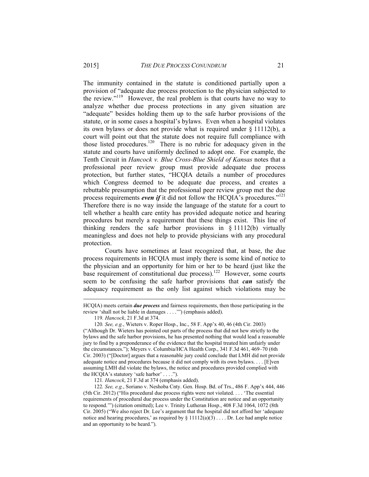The immunity contained in the statute is conditioned partially upon a provision of "adequate due process protection to the physician subjected to the review."119 However, the real problem is that courts have no way to analyze whether due process protections in any given situation are "adequate" besides holding them up to the safe harbor provisions of the statute, or in some cases a hospital's bylaws. Even when a hospital violates its own bylaws or does not provide what is required under § 11112(b), a court will point out that the statute does not require full compliance with those listed procedures.<sup>120</sup> There is no rubric for adequacy given in the statute and courts have uniformly declined to adopt one. For example, the Tenth Circuit in *Hancock v. Blue Cross-Blue Shield of Kansas* notes that a professional peer review group must provide adequate due process protection, but further states, "HCQIA details a number of procedures which Congress deemed to be adequate due process, and creates a rebuttable presumption that the professional peer review group met the due process requirements *even if* it did not follow the HCQIA's procedures.<sup>"121</sup> Therefore there is no way inside the language of the statute for a court to tell whether a health care entity has provided adequate notice and hearing procedures but merely a requirement that these things exist. This line of thinking renders the safe harbor provisions in § 11112(b) virtually meaningless and does not help to provide physicians with any procedural protection.

Courts have sometimes at least recognized that, at base, the due process requirements in HCQIA must imply there is some kind of notice to the physician and an opportunity for him or her to be heard (just like the base requirement of constitutional due process).<sup>122</sup> However, some courts seem to be confusing the safe harbor provisions that *can* satisfy the adequacy requirement as the only list against which violations may be

 $\overline{a}$ 

121*. Hancock*, 21 F.3d at 374 (emphasis added).

HCQIA) meets certain *due process* and fairness requirements, then those participating in the review 'shall not be liable in damages . . . .'") (emphasis added).

<sup>119</sup>*. Hancock*, 21 F.3d at 374.

<sup>120</sup>*. See, e.g.*, Wieters v. Roper Hosp., Inc., 58 F. App'x 40, 46 (4th Cir. 2003) ("Although Dr. Wieters has pointed out parts of the process that did not hew strictly to the bylaws and the safe harbor provisions, he has presented nothing that would lead a reasonable jury to find by a preponderance of the evidence that the hospital treated him unfairly under the circumstances."); Meyers v. Columbia/HCA Health Corp., 341 F.3d 461, 469–70 (6th Cir. 2003) ("[Doctor] argues that a reasonable jury could conclude that LMH did not provide adequate notice and procedures because it did not comply with its own bylaws. . . . [E]ven assuming LMH did violate the bylaws, the notice and procedures provided complied with the HCQIA's statutory 'safe harbor' . . . .").

<sup>122</sup>*. See, e.g.*, Soriano v. Neshoba Cnty. Gen. Hosp. Bd. of Trs., 486 F. App'x 444, 446 (5th Cir. 2012) ("His procedural due process rights were not violated. . . . 'The essential requirements of procedural due process under the Constitution are notice and an opportunity to respond.'") (citation omitted); Lee v. Trinity Lutheran Hosp., 408 F.3d 1064, 1072 (8th Cir. 2005) ("We also reject Dr. Lee's argument that the hospital did not afford her 'adequate notice and hearing procedures,' as required by  $\S 11112(a)(3) \ldots$ . Dr. Lee had ample notice and an opportunity to be heard.").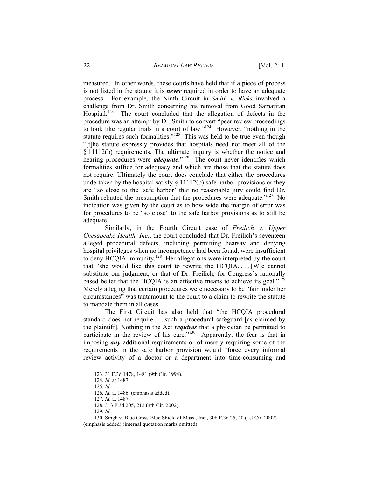measured. In other words, these courts have held that if a piece of process is not listed in the statute it is *never* required in order to have an adequate process. For example, the Ninth Circuit in *Smith v. Ricks* involved a challenge from Dr. Smith concerning his removal from Good Samaritan Hospital.<sup>123</sup> The court concluded that the allegation of defects in the procedure was an attempt by Dr. Smith to convert "peer review proceedings to look like regular trials in a court of law."124 However, "nothing in the statute requires such formalities."<sup>125</sup> This was held to be true even though "[t]he statute expressly provides that hospitals need not meet all of the § 11112(b) requirements. The ultimate inquiry is whether the notice and hearing procedures were *adequate*."<sup>126</sup> The court never identifies which formalities suffice for adequacy and which are those that the statute does not require. Ultimately the court does conclude that either the procedures undertaken by the hospital satisfy  $\S 11112(b)$  safe harbor provisions or they are "so close to the 'safe harbor' that no reasonable jury could find Dr. Smith rebutted the presumption that the procedures were adequate."<sup>127</sup> No indication was given by the court as to how wide the margin of error was for procedures to be "so close" to the safe harbor provisions as to still be adequate.

Similarly, in the Fourth Circuit case of *Freilich v. Upper Chesapeake Health, Inc.*, the court concluded that Dr. Freilich's seventeen alleged procedural defects, including permitting hearsay and denying hospital privileges when no incompetence had been found, were insufficient to deny HCQIA immunity.<sup>128</sup> Her allegations were interpreted by the court that "she would like this court to rewrite the HCQIA. . . . [W]e cannot substitute our judgment, or that of Dr. Freilich, for Congress's rationally based belief that the HCQIA is an effective means to achieve its goal. $129$ Merely alleging that certain procedures were necessary to be "fair under her circumstances" was tantamount to the court to a claim to rewrite the statute to mandate them in all cases.

The First Circuit has also held that "the HCQIA procedural standard does not require . . . such a procedural safeguard [as claimed by the plaintiff]. Nothing in the Act *requires* that a physician be permitted to participate in the review of his care."<sup>130</sup> Apparently, the fear is that in imposing *any* additional requirements or of merely requiring some of the requirements in the safe harbor provision would "force every informal review activity of a doctor or a department into time-consuming and

 <sup>123. 31</sup> F.3d 1478, 1481 (9th Cir. 1994).

<sup>124</sup>*. Id.* at 1487.

<sup>125</sup>*. Id.*

<sup>126</sup>*. Id.* at 1486. (emphasis added).

<sup>127</sup>*. Id.* at 1487.

 <sup>128. 313</sup> F.3d 205, 212 (4th Cir. 2002).

<sup>129</sup>*. Id.*

 <sup>130.</sup> Singh v. Blue Cross-Blue Shield of Mass., Inc., 308 F.3d 25, 40 (1st Cir. 2002) (emphasis added) (internal quotation marks omitted).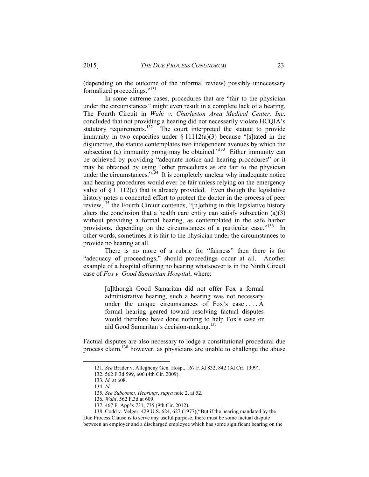(depending on the outcome of the informal review) possibly unnecessary formalized proceedings."131

In some extreme cases, procedures that are "fair to the physician under the circumstances" might even result in a complete lack of a hearing. The Fourth Circuit in *Wahi v. Charleston Area Medical Center, Inc*. concluded that not providing a hearing did not necessarily violate HCQIA's statutory requirements.<sup>132</sup> The court interpreted the statute to provide immunity in two capacities under  $\S 11112(a)(3)$  because "[s]tated in the disjunctive, the statute contemplates two independent avenues by which the subsection (a) immunity prong may be obtained."<sup>133</sup> Either immunity can be achieved by providing "adequate notice and hearing procedures" or it may be obtained by using "other procedures as are fair to the physician under the circumstances."<sup>134</sup> It is completely unclear why inadequate notice and hearing procedures would ever be fair unless relying on the emergency valve of  $\S$  11112(c) that is already provided. Even though the legislative history notes a concerted effort to protect the doctor in the process of peer review,<sup>135</sup> the Fourth Circuit contends, "[n]othing in this legislative history alters the conclusion that a health care entity can satisfy subsection  $(a)(3)$ without providing a formal hearing, as contemplated in the safe harbor provisions, depending on the circumstances of a particular case."<sup>136</sup> In other words, sometimes it is fair to the physician under the circumstances to provide no hearing at all.

There is no more of a rubric for "fairness" then there is for "adequacy of proceedings," should proceedings occur at all. Another example of a hospital offering no hearing whatsoever is in the Ninth Circuit case of *Fox v. Good Samaritan Hospital*, where:

> [a]lthough Good Samaritan did not offer Fox a formal administrative hearing, such a hearing was not necessary under the unique circumstances of Fox's case . . . . A formal hearing geared toward resolving factual disputes would therefore have done nothing to help Fox's case or aid Good Samaritan's decision-making.137

Factual disputes are also necessary to lodge a constitutional procedural due process claim,<sup>138</sup> however, as physicians are unable to challenge the abuse

 <sup>131</sup>*. See* Brader v. Allegheny Gen. Hosp., 167 F.3d 832, 842 (3d Cir. 1999).

 <sup>132. 562</sup> F.3d 599, 606 (4th Cir. 2009).

<sup>133</sup>*. Id.* at 608.

<sup>134</sup>*. Id.*

<sup>135</sup>*. See Subcomm. Hearings*, *supra* note 2, at 52.

<sup>136</sup>*. Wahi*, 562 F.3d at 609.

 <sup>137. 467</sup> F. App'x 731, 735 (9th Cir. 2012).

 <sup>138.</sup> Codd v. Velger, 429 U.S. 624, 627 (1977)("But if the hearing mandated by the Due Process Clause is to serve any useful purpose, there must be some factual dispute between an employer and a discharged employee which has some significant bearing on the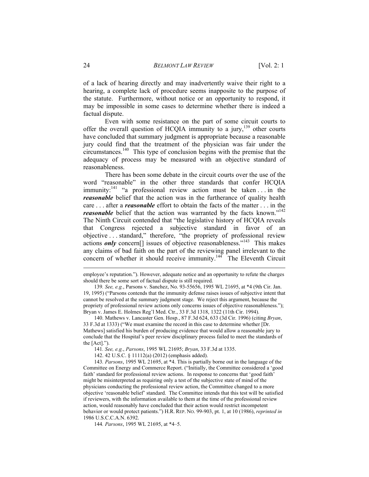of a lack of hearing directly and may inadvertently waive their right to a hearing, a complete lack of procedure seems inapposite to the purpose of the statute. Furthermore, without notice or an opportunity to respond, it may be impossible in some cases to determine whether there is indeed a factual dispute.

Even with some resistance on the part of some circuit courts to offer the overall question of HCQIA immunity to a jury,  $^{139}$  other courts have concluded that summary judgment is appropriate because a reasonable jury could find that the treatment of the physician was fair under the circumstances.140 This type of conclusion begins with the premise that the adequacy of process may be measured with an objective standard of reasonableness.

There has been some debate in the circuit courts over the use of the word "reasonable" in the other three standards that confer HCQIA immunity:  $141$  "a professional review action must be taken ... in the *reasonable* belief that the action was in the furtherance of quality health care . . . after a *reasonable* effort to obtain the facts of the matter . . . in the *reasonable* belief that the action was warranted by the facts known."<sup>142</sup> The Ninth Circuit contended that "the legislative history of HCQIA reveals that Congress rejected a subjective standard in favor of an objective . . . standard," therefore, "the propriety of professional review actions *only* concern<sup>[]</sup> issues of objective reasonableness."<sup>143</sup> This makes any claims of bad faith on the part of the reviewing panel irrelevant to the concern of whether it should receive immunity.<sup>144</sup> The Eleventh Circuit

139*. See, e.g.*, Parsons v. Sanchez, No. 93-55656, 1995 WL 21695, at \*4 (9th Cir. Jan. 19, 1995) ("Parsons contends that the immunity defense raises issues of subjective intent that cannot be resolved at the summary judgment stage. We reject this argument, because the propriety of professional review actions only concerns issues of objective reasonableness."); Bryan v. James E. Holmes Reg'l Med. Ctr., 33 F.3d 1318, 1322 (11th Cir. 1994).

 140. Mathews v. Lancaster Gen. Hosp*.*, 87 F.3d 624, 633 (3d Cir. 1996) (citing *Bryan*, 33 F.3d at 1333) ("We must examine the record in this case to determine whether [Dr. Mathews] satisfied his burden of producing evidence that would allow a reasonable jury to conclude that the Hospital's peer review disciplinary process failed to meet the standards of the  $[Act].$ ").

141*. See, e.g.*, *Parsons*, 1995 WL 21695; *Bryan*, 33 F.3d at 1335.

142. 42 U.S.C. § 11112(a) (2012) (emphasis added).

143*. Parsons*, 1995 WL 21695, at \*4. This is partially borne out in the language of the Committee on Energy and Commerce Report. ("Initially, the Committee considered a 'good faith' standard for professional review actions. In response to concerns that 'good faith' might be misinterpreted as requiring only a test of the subjective state of mind of the physicians conducting the professional review action, the Committee changed to a more objective 'reasonable belief' standard. The Committee intends that this test will be satisfied if reviewers, with the information available to them at the time of the professional review action, would reasonably have concluded that their action would restrict incompetent behavior or would protect patients.") H.R. REP. NO. 99-903, pt. 1, at 10 (1986), *reprinted in* 1986 U.S.C.C.A.N. 6392.

144*. Parsons*, 1995 WL 21695, at \*4–5.

employee's reputation."). However, adequate notice and an opportunity to refute the charges should there be some sort of factual dispute is still required.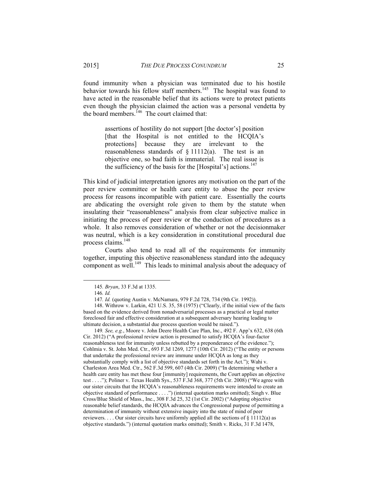found immunity when a physician was terminated due to his hostile behavior towards his fellow staff members.<sup>145</sup> The hospital was found to have acted in the reasonable belief that its actions were to protect patients even though the physician claimed the action was a personal vendetta by the board members.<sup>146</sup> The court claimed that:

> assertions of hostility do not support [the doctor's] position [that the Hospital is not entitled to the HCQIA's protections] because they are irrelevant to the reasonableness standards of  $\S$  11112(a). The test is an objective one, so bad faith is immaterial. The real issue is the sufficiency of the basis for the [Hospital's] actions. $147$

This kind of judicial interpretation ignores any motivation on the part of the peer review committee or health care entity to abuse the peer review process for reasons incompatible with patient care. Essentially the courts are abdicating the oversight role given to them by the statute when insulating their "reasonableness" analysis from clear subjective malice in initiating the process of peer review or the conduction of procedures as a whole. It also removes consideration of whether or not the decisionmaker was neutral, which is a key consideration in constitutional procedural due process claims.<sup>148</sup>

Courts also tend to read all of the requirements for immunity together, imputing this objective reasonableness standard into the adequacy component as well.<sup>149</sup> This leads to minimal analysis about the adequacy of

 148. Withrow v. Larkin, 421 U.S. 35, 58 (1975) ("Clearly, if the initial view of the facts based on the evidence derived from nonadversarial processes as a practical or legal matter foreclosed fair and effective consideration at a subsequent adversary hearing leading to ultimate decision, a substantial due process question would be raised.").

149*. See, e.g.*, Moore v. John Deere Health Care Plan, Inc., 492 F. App'x 632, 638 (6th Cir. 2012) ("A professional review action is presumed to satisfy HCQIA's four-factor reasonableness test for immunity unless rebutted by a preponderance of the evidence."); Cohlmia v. St. John Med. Ctr., 693 F.3d 1269, 1277 (10th Cir. 2012) ("The entity or persons that undertake the professional review are immune under HCQIA as long as they substantially comply with a list of objective standards set forth in the Act."); Wahi v. Charleston Area Med. Ctr., 562 F.3d 599, 607 (4th Cir. 2009) ("In determining whether a health care entity has met these four [immunity] requirements, the Court applies an objective test . . . ."); Poliner v. Texas Health Sys., 537 F.3d 368, 377 (5th Cir. 2008) ("We agree with our sister circuits that the HCQIA's reasonableness requirements were intended to create an objective standard of performance . . . .") (internal quotation marks omitted); Singh v. Blue Cross/Blue Shield of Mass., Inc., 308 F.3d 25, 32 (1st Cir. 2002) ("Adopting objective reasonable belief standards, the HCQIA advances the Congressional purpose of permitting a determination of immunity without extensive inquiry into the state of mind of peer reviewers. . . . Our sister circuits have uniformly applied all the sections of  $\S 11112(a)$  as objective standards.") (internal quotation marks omitted); Smith v. Ricks, 31 F.3d 1478,

 <sup>145</sup>*. Bryan*, 33 F.3d at 1335.

<sup>146</sup>*. Id.*

<sup>147</sup>*. Id.* (quoting Austin v. McNamara, 979 F.2d 728, 734 (9th Cir. 1992)).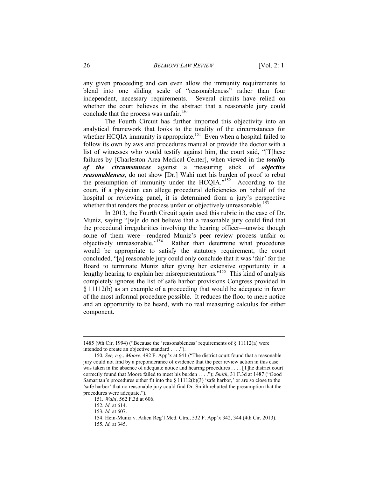any given proceeding and can even allow the immunity requirements to blend into one sliding scale of "reasonableness" rather than four independent, necessary requirements. Several circuits have relied on whether the court believes in the abstract that a reasonable jury could conclude that the process was unfair.<sup>150</sup>

The Fourth Circuit has further imported this objectivity into an analytical framework that looks to the totality of the circumstances for whether HCQIA immunity is appropriate.<sup>151</sup> Even when a hospital failed to follow its own bylaws and procedures manual or provide the doctor with a list of witnesses who would testify against him, the court said, "[T]hese failures by [Charleston Area Medical Center], when viewed in the *totality of the circumstances* against a measuring stick of *objective reasonableness*, do not show [Dr.] Wahi met his burden of proof to rebut the presumption of immunity under the HCQIA."152 According to the court, if a physician can allege procedural deficiencies on behalf of the hospital or reviewing panel, it is determined from a jury's perspective whether that renders the process unfair or objectively unreasonable.<sup>153</sup>

In 2013, the Fourth Circuit again used this rubric in the case of Dr. Muniz, saying "[w]e do not believe that a reasonable jury could find that the procedural irregularities involving the hearing officer—unwise though some of them were—rendered Muniz's peer review process unfair or objectively unreasonable."154 Rather than determine what procedures would be appropriate to satisfy the statutory requirement, the court concluded, "[a] reasonable jury could only conclude that it was 'fair' for the Board to terminate Muniz after giving her extensive opportunity in a lengthy hearing to explain her misrepresentations."<sup>155</sup> This kind of analysis completely ignores the list of safe harbor provisions Congress provided in § 11112(b) as an example of a proceeding that would be adequate in favor of the most informal procedure possible. It reduces the floor to mere notice and an opportunity to be heard, with no real measuring calculus for either component.

<sup>1485 (9</sup>th Cir. 1994) ("Because the 'reasonableness' requirements of § 11112(a) were intended to create an objective standard . . . .").

<sup>150</sup>*. See, e.g.*, *Moore*, 492 F. App'x at 641 ("The district court found that a reasonable jury could not find by a preponderance of evidence that the peer review action in this case was taken in the absence of adequate notice and hearing procedures . . . . [T]he district court correctly found that Moore failed to meet his burden . . . ."); *Smith*, 31 F.3d at 1487 ("Good Samaritan's procedures either fit into the  $\S$  11112(b)(3) 'safe harbor,' or are so close to the 'safe harbor' that no reasonable jury could find Dr. Smith rebutted the presumption that the procedures were adequate.").

<sup>151</sup>*. Wahi*, 562 F.3d at 606.

<sup>152</sup>*. Id.* at 614.

<sup>153</sup>*. Id.* at 607.

 <sup>154.</sup> Hein-Muniz v. Aiken Reg'l Med. Ctrs., 532 F. App'x 342, 344 (4th Cir. 2013). 155*. Id.* at 345.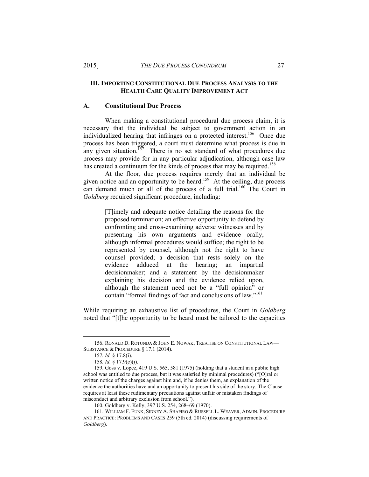#### **III. IMPORTING CONSTITUTIONAL DUE PROCESS ANALYSIS TO THE HEALTH CARE QUALITY IMPROVEMENT ACT**

#### **A. Constitutional Due Process**

When making a constitutional procedural due process claim, it is necessary that the individual be subject to government action in an individualized hearing that infringes on a protected interest.<sup>156</sup> Once due process has been triggered, a court must determine what process is due in any given situation.<sup> $157$ </sup> There is no set standard of what procedures due process may provide for in any particular adjudication, although case law has created a continuum for the kinds of process that may be required.<sup>158</sup>

At the floor, due process requires merely that an individual be given notice and an opportunity to be heard.<sup>159</sup> At the ceiling, due process can demand much or all of the process of a full trial.<sup>160</sup> The Court in *Goldberg* required significant procedure, including:

> [T]imely and adequate notice detailing the reasons for the proposed termination; an effective opportunity to defend by confronting and cross-examining adverse witnesses and by presenting his own arguments and evidence orally, although informal procedures would suffice; the right to be represented by counsel, although not the right to have counsel provided; a decision that rests solely on the evidence adduced at the hearing; an impartial decisionmaker; and a statement by the decisionmaker explaining his decision and the evidence relied upon, although the statement need not be a "full opinion" or contain "formal findings of fact and conclusions of law."<sup>161</sup>

While requiring an exhaustive list of procedures, the Court in *Goldberg* noted that "[t]he opportunity to be heard must be tailored to the capacities

 <sup>156.</sup> RONALD D. ROTUNDA & JOHN E. NOWAK, TREATISE ON CONSTITUTIONAL LAW— SUBSTANCE & PROCEDURE § 17.1 (2014).

<sup>157</sup>*. Id.* § 17.8(i).

<sup>158</sup>*. Id.* § 17.9(c)(i).

 <sup>159.</sup> Goss v. Lopez, 419 U.S. 565, 581 (1975) (holding that a student in a public high school was entitled to due process, but it was satisfied by minimal procedures) ("[O]ral or written notice of the charges against him and, if he denies them, an explanation of the evidence the authorities have and an opportunity to present his side of the story. The Clause requires at least these rudimentary precautions against unfair or mistaken findings of misconduct and arbitrary exclusion from school.").

 <sup>160.</sup> Goldberg v. Kelly, 397 U.S. 254, 268–69 (1970).

 <sup>161.</sup> WILLIAM F. FUNK, SIDNEY A. SHAPIRO & RUSSELL L. WEAVER, ADMIN. PROCEDURE AND PRACTICE: PROBLEMS AND CASES 259 (5th ed. 2014) (discussing requirements of *Goldberg*).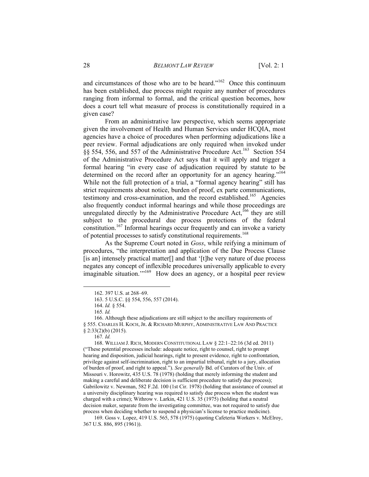and circumstances of those who are to be heard." $162$  Once this continuum has been established, due process might require any number of procedures ranging from informal to formal, and the critical question becomes, how does a court tell what measure of process is constitutionally required in a given case?

From an administrative law perspective, which seems appropriate given the involvement of Health and Human Services under HCQIA, most agencies have a choice of procedures when performing adjudications like a peer review. Formal adjudications are only required when invoked under §§ 554, 556, and 557 of the Administrative Procedure Act.163 Section 554 of the Administrative Procedure Act says that it will apply and trigger a formal hearing "in every case of adjudication required by statute to be determined on the record after an opportunity for an agency hearing."<sup>164</sup> While not the full protection of a trial, a "formal agency hearing" still has strict requirements about notice, burden of proof, ex parte communications, testimony and cross-examination, and the record established.<sup>165</sup> Agencies also frequently conduct informal hearings and while those proceedings are unregulated directly by the Administrative Procedure Act,<sup>166</sup> they are still subject to the procedural due process protections of the federal constitution.<sup>167</sup> Informal hearings occur frequently and can invoke a variety of potential processes to satisfy constitutional requirements.<sup>168</sup>

As the Supreme Court noted in *Goss*, while reifying a minimum of procedures, "the interpretation and application of the Due Process Clause [is an] intensely practical matter<sup>[]</sup> and that '[t]he very nature of due process negates any concept of inflexible procedures universally applicable to every imaginable situation."<sup>169</sup> How does an agency, or a hospital peer review

 $\overline{a}$ 

 168. WILLIAM J. RICH, MODERN CONSTITUTIONAL LAW § 22:1–22:16 (3d ed. 2011) ("These potential processes include: adequate notice, right to counsel, right to prompt hearing and disposition, judicial hearings, right to present evidence, right to confrontation, privilege against self-incrimination, right to an impartial tribunal, right to a jury, allocation of burden of proof, and right to appeal."). *See generally* Bd. of Curators of the Univ. of Missouri v. Horowitz, 435 U.S. 78 (1978) (holding that merely informing the student and making a careful and deliberate decision is sufficient procedure to satisfy due process); Gabrilowitz v. Newman, 582 F.2d. 100 (1st Cir. 1978) (holding that assistance of counsel at a university disciplinary hearing was required to satisfy due process when the student was charged with a crime); Withrow v. Larkin, 421 U.S. 35 (1975) (holding that a neutral decision maker, separate from the investigating committee, was not required to satisfy due process when deciding whether to suspend a physician's license to practice medicine).

 169. Goss v. Lopez, 419 U.S. 565, 578 (1975) (quoting Cafeteria Workers v. McElroy, 367 U.S. 886, 895 (1961)).

 <sup>162. 397</sup> U.S. at 268–69.

 <sup>163. 5</sup> U.S.C. §§ 554, 556, 557 (2014).

 <sup>164.</sup> *Id.* § 554.

<sup>165</sup>*. Id.*

 <sup>166.</sup> Although these adjudications are still subject to the ancillary requirements of § 555. CHARLES H. KOCH, JR. & RICHARD MURPHY, ADMINISTRATIVE LAW AND PRACTICE § 2:33(2)(b) (2015).

<sup>167</sup>*. Id.*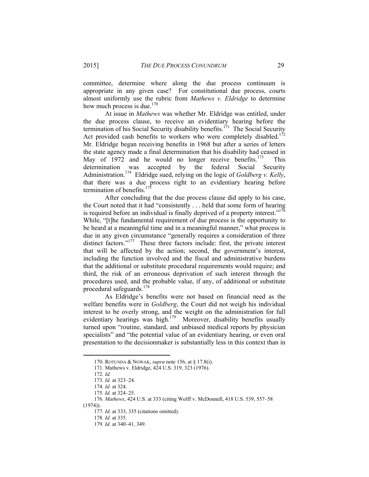committee, determine where along the due process continuum is appropriate in any given case? For constitutional due process, courts almost uniformly use the rubric from *Mathews v. Eldridge* to determine how much process is due. $170$ 

At issue in *Mathews* was whether Mr. Eldridge was entitled, under the due process clause, to receive an evidentiary hearing before the termination of his Social Security disability benefits.<sup>171</sup> The Social Security Act provided cash benefits to workers who were completely disabled.<sup>172</sup> Mr. Eldridge began receiving benefits in 1968 but after a series of letters the state agency made a final determination that his disability had ceased in May of 1972 and he would no longer receive benefits.<sup>173</sup> This determination was accepted by the federal Social Security Administration.174 Eldridge sued, relying on the logic of *Goldberg v. Kelly*, that there was a due process right to an evidentiary hearing before termination of benefits. $175$ 

After concluding that the due process clause did apply to his case, the Court noted that it had "consistently . . . held that some form of hearing is required before an individual is finally deprived of a property interest."<sup>176</sup> While, "[t]he fundamental requirement of due process is the opportunity to be heard at a meaningful time and in a meaningful manner," what process is due in any given circumstance "generally requires a consideration of three distinct factors."<sup>177</sup> These three factors include: first, the private interest that will be affected by the action; second, the government's interest, including the function involved and the fiscal and administrative burdens that the additional or substitute procedural requirements would require; and third, the risk of an erroneous deprivation of such interest through the procedures used, and the probable value, if any, of additional or substitute procedural safeguards.<sup>178</sup>

As Eldridge's benefits were not based on financial need as the welfare benefits were in *Goldberg*, the Court did not weigh his individual interest to be overly strong, and the weight on the administration for full evidentiary hearings was high.<sup>179</sup> Moreover, disability benefits usually turned upon "routine, standard, and unbiased medical reports by physician specialists" and "the potential value of an evidentiary hearing, or even oral presentation to the decisionmaker is substantially less in this context than in

 <sup>170.</sup> ROTUNDA & NOWAK, *supra* note 156, at § 17.8(i).

 <sup>171.</sup> Mathews v. Eldridge, 424 U.S. 319, 323 (1976).

<sup>172</sup>*. Id.*

<sup>173</sup>*. Id.* at 323–24.

<sup>174</sup>*. Id.* at 324.

<sup>175</sup>*. Id.* at 324–25.

<sup>176</sup>*. Mathews*, 424 U.S. at 333 (citing Wolff v. McDonnell, 418 U.S. 539, 557–58

<sup>(1974)).</sup> 

<sup>177</sup>*. Id.* at 333, 335 (citations omitted).

<sup>178</sup>*. Id.* at 335.

<sup>179</sup>*. Id.* at 340–41, 349.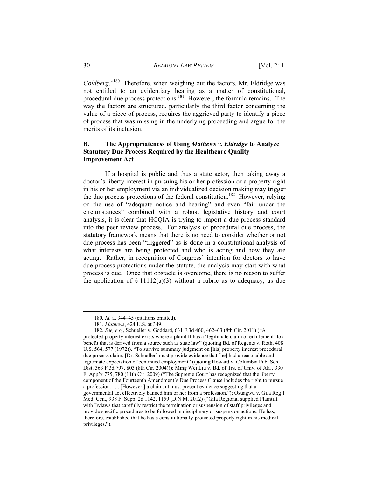*Goldberg*."180 Therefore, when weighing out the factors, Mr. Eldridge was not entitled to an evidentiary hearing as a matter of constitutional, procedural due process protections.181 However, the formula remains. The way the factors are structured, particularly the third factor concerning the value of a piece of process, requires the aggrieved party to identify a piece of process that was missing in the underlying proceeding and argue for the merits of its inclusion.

#### **B. The Appropriateness of Using** *Mathews v. Eldridge* **to Analyze Statutory Due Process Required by the Healthcare Quality Improvement Act**

If a hospital is public and thus a state actor, then taking away a doctor's liberty interest in pursuing his or her profession or a property right in his or her employment via an individualized decision making may trigger the due process protections of the federal constitution.<sup>182</sup> However, relying on the use of "adequate notice and hearing" and even "fair under the circumstances" combined with a robust legislative history and court analysis, it is clear that HCQIA is trying to import a due process standard into the peer review process. For analysis of procedural due process, the statutory framework means that there is no need to consider whether or not due process has been "triggered" as is done in a constitutional analysis of what interests are being protected and who is acting and how they are acting. Rather, in recognition of Congress' intention for doctors to have due process protections under the statute, the analysis may start with what process is due. Once that obstacle is overcome, there is no reason to suffer the application of  $\S 11112(a)(3)$  without a rubric as to adequacy, as due

 <sup>180</sup>*. Id.* at 344–45 (citations omitted).

<sup>181</sup>*. Mathews*, 424 U.S. at 349.

<sup>182</sup>*. See, e.g.*, Schueller v. Goddard, 631 F.3d 460, 462–63 (8th Cir. 2011) ("A protected property interest exists where a plaintiff has a 'legitimate claim of entitlement' to a benefit that is derived from a source such as state law" (quoting Bd. of Regents v. Roth, 408 U.S. 564, 577 (1972)). "To survive summary judgment on [his] property interest procedural due process claim, [Dr. Schueller] must provide evidence that [he] had a reasonable and legitimate expectation of continued employment" (quoting Howard v. Columbia Pub. Sch. Dist. 363 F.3d 797, 803 (8th Cir. 2004))); Ming Wei Liu v. Bd. of Trs. of Univ. of Ala*.*, 330 F. App'x 775, 780 (11th Cir. 2009) ("The Supreme Court has recognized that the liberty component of the Fourteenth Amendment's Due Process Clause includes the right to pursue a profession. . . . [However,] a claimant must present evidence suggesting that a governmental act effectively banned him or her from a profession."); Osuagwu v. Gila Reg'l Med. Cen., 938 F. Supp. 2d 1142, 1159 (D.N.M. 2012) ("Gila Regional supplied Plaintiff with Bylaws that carefully restrict the termination or suspension of staff privileges and provide specific procedures to be followed in disciplinary or suspension actions. He has, therefore, established that he has a constitutionally-protected property right in his medical privileges.").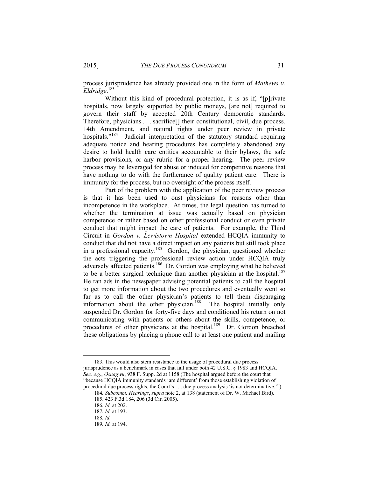process jurisprudence has already provided one in the form of *Mathews v. Eldridge*. 183

Without this kind of procedural protection, it is as if, "[p]rivate hospitals, now largely supported by public moneys, [are not] required to govern their staff by accepted 20th Century democratic standards. Therefore, physicians . . . sacrifice[] their constitutional, civil, due process, 14th Amendment, and natural rights under peer review in private hospitals."<sup>184</sup> Judicial interpretation of the statutory standard requiring adequate notice and hearing procedures has completely abandoned any desire to hold health care entities accountable to their bylaws, the safe harbor provisions, or any rubric for a proper hearing. The peer review process may be leveraged for abuse or induced for competitive reasons that have nothing to do with the furtherance of quality patient care. There is immunity for the process, but no oversight of the process itself.

Part of the problem with the application of the peer review process is that it has been used to oust physicians for reasons other than incompetence in the workplace. At times, the legal question has turned to whether the termination at issue was actually based on physician competence or rather based on other professional conduct or even private conduct that might impact the care of patients. For example, the Third Circuit in *Gordon v. Lewistown Hospital* extended HCQIA immunity to conduct that did not have a direct impact on any patients but still took place in a professional capacity.<sup>185</sup> Gordon, the physician, questioned whether the acts triggering the professional review action under HCQIA truly adversely affected patients.186 Dr. Gordon was employing what he believed to be a better surgical technique than another physician at the hospital.<sup>187</sup> He ran ads in the newspaper advising potential patients to call the hospital to get more information about the two procedures and eventually went so far as to call the other physician's patients to tell them disparaging information about the other physician.<sup>188</sup> The hospital initially only suspended Dr. Gordon for forty-five days and conditioned his return on not communicating with patients or others about the skills, competence, or procedures of other physicians at the hospital.<sup>189</sup> Dr. Gordon breached these obligations by placing a phone call to at least one patient and mailing

 <sup>183.</sup> This would also stem resistance to the usage of procedural due process jurisprudence as a benchmark in cases that fall under both 42 U.S.C. § 1983 and HCQIA. *See, e.g.*, *Osuagwu*, 938 F. Supp. 2d at 1158 (The hospital argued before the court that "because HCQIA immunity standards 'are different' from those establishing violation of procedural due process rights, the Court's . . . due process analysis 'is not determinative.'").

<sup>184</sup>*. Subcomm. Hearings*, *supra* note 2, at 138 (statement of Dr. W. Michael Bird). 185. 423 F.3d 184, 206 (3d Cir. 2005).

<sup>186</sup>*. Id.* at 202.

<sup>187</sup>*. Id.* at 193.

<sup>188</sup>*. Id.*

<sup>189</sup>*. Id.* at 194.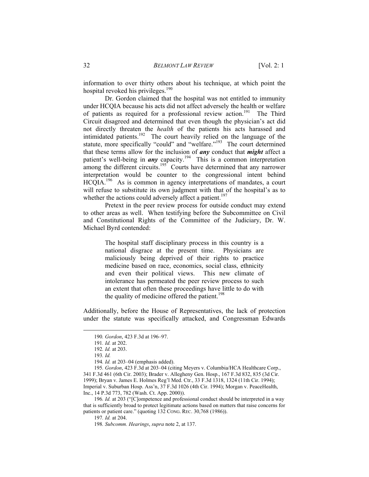information to over thirty others about his technique, at which point the hospital revoked his privileges.<sup>190</sup>

Dr. Gordon claimed that the hospital was not entitled to immunity under HCQIA because his acts did not affect adversely the health or welfare of patients as required for a professional review action.<sup>191</sup> The Third Circuit disagreed and determined that even though the physician's act did not directly threaten the *health* of the patients his acts harassed and intimidated patients.<sup>192</sup> The court heavily relied on the language of the statute, more specifically "could" and "welfare."<sup>193</sup> The court determined that these terms allow for the inclusion of *any* conduct that *might* affect a patient's well-being in  $any$  capacity.<sup>194</sup> This is a common interpretation among the different circuits.<sup>195</sup> Courts have determined that any narrower interpretation would be counter to the congressional intent behind HCQIA.<sup>196</sup> As is common in agency interpretations of mandates, a court will refuse to substitute its own judgment with that of the hospital's as to whether the actions could adversely affect a patient.<sup>197</sup>

Pretext in the peer review process for outside conduct may extend to other areas as well. When testifying before the Subcommittee on Civil and Constitutional Rights of the Committee of the Judiciary, Dr. W. Michael Byrd contended:

> The hospital staff disciplinary process in this country is a national disgrace at the present time. Physicians are maliciously being deprived of their rights to practice medicine based on race, economics, social class, ethnicity and even their political views. This new climate of intolerance has permeated the peer review process to such an extent that often these proceedings have little to do with the quality of medicine offered the patient.<sup>198</sup>

Additionally, before the House of Representatives, the lack of protection under the statute was specifically attacked, and Congressman Edwards

 <sup>190</sup>*. Gordon*, 423 F.3d at 196–97.

<sup>191</sup>*. Id.* at 202.

<sup>192</sup>*. Id.* at 203.

<sup>193</sup>*. Id.*

<sup>194</sup>*. Id.* at 203–04 (emphasis added).

<sup>195</sup>*. Gordon*, 423 F.3d at 203–04 (citing Meyers v. Columbia/HCA Healthcare Corp., 341 F.3d 461 (6th Cir. 2003); Brader v. Allegheny Gen. Hosp., 167 F.3d 832, 835 (3d Cir. 1999); Bryan v. James E. Holmes Reg'l Med. Ctr., 33 F.3d 1318, 1324 (11th Cir. 1994); Imperial v. Suburban Hosp. Ass'n, 37 F.3d 1026 (4th Cir. 1994); Morgan v. PeaceHealth, Inc., 14 P.3d 773, 782 (Wash. Ct. App. 2000)).

<sup>196</sup>*. Id.* at 203 ("[C]ompetence and professional conduct should be interpreted in a way that is sufficiently broad to protect legitimate actions based on matters that raise concerns for patients or patient care." (quoting 132 CONG. REC. 30,768 (1986)).

<sup>197</sup>*. Id.* at 204.

<sup>198</sup>*. Subcomm. Hearings*, *supra* note 2, at 137.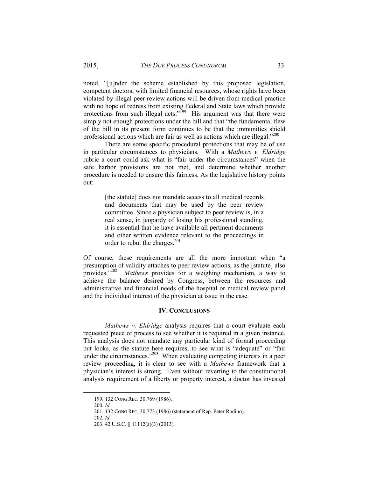noted, "[u]nder the scheme established by this proposed legislation, competent doctors, with limited financial resources, whose rights have been violated by illegal peer review actions will be driven from medical practice with no hope of redress from existing Federal and State laws which provide protections from such illegal acts."<sup>199</sup> His argument was that there were simply not enough protections under the bill and that "the fundamental flaw of the bill in its present form continues to be that the immunities shield professional actions which are fair as well as actions which are illegal."<sup>200</sup>

There are some specific procedural protections that may be of use in particular circumstances to physicians. With a *Mathews v. Eldridge* rubric a court could ask what is "fair under the circumstances" when the safe harbor provisions are not met, and determine whether another procedure is needed to ensure this fairness. As the legislative history points out:

> [the statute] does not mandate access to all medical records and documents that may be used by the peer review committee. Since a physician subject to peer review is, in a real sense, in jeopardy of losing his professional standing, it is essential that he have available all pertinent documents and other written evidence relevant to the proceedings in order to rebut the charges.<sup>201</sup>

Of course, these requirements are all the more important when "a presumption of validity attaches to peer review actions, as the [statute] also provides.<sup>7202</sup> *Mathews* provides for a weighing mechanism, a way to *Mathews* provides for a weighing mechanism, a way to achieve the balance desired by Congress, between the resources and administrative and financial needs of the hospital or medical review panel and the individual interest of the physician at issue in the case.

#### **IV. CONCLUSIONS**

*Mathews v. Eldridge* analysis requires that a court evaluate each requested piece of process to see whether it is required in a given instance. This analysis does not mandate any particular kind of formal proceeding but looks, as the statute here requires, to see what is "adequate" or "fair under the circumstances."<sup>203</sup> When evaluating competing interests in a peer review proceeding, it is clear to see with a *Mathews* framework that a physician's interest is strong. Even without reverting to the constitutional analysis requirement of a liberty or property interest, a doctor has invested

 <sup>199. 132</sup> CONG REC. 30,769 (1986).

<sup>200</sup>*. Id.*

 <sup>201. 132</sup> CONG REC. 30,773 (1986) (statement of Rep. Peter Rodino).

<sup>202</sup>*. Id.*

 <sup>203. 42</sup> U.S.C. § 11112(a)(3) (2013).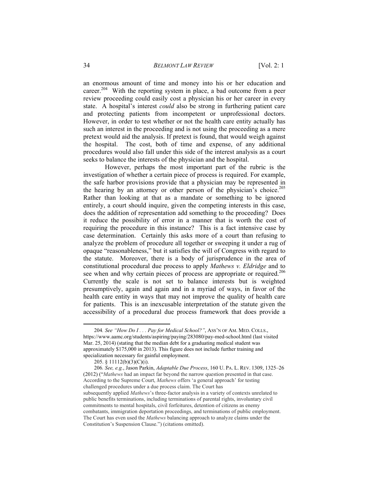an enormous amount of time and money into his or her education and career.<sup>204</sup> With the reporting system in place, a bad outcome from a peer review proceeding could easily cost a physician his or her career in every state. A hospital's interest *could* also be strong in furthering patient care and protecting patients from incompetent or unprofessional doctors. However, in order to test whether or not the health care entity actually has such an interest in the proceeding and is not using the proceeding as a mere pretext would aid the analysis. If pretext is found, that would weigh against the hospital. The cost, both of time and expense, of any additional procedures would also fall under this side of the interest analysis as a court seeks to balance the interests of the physician and the hospital.

However, perhaps the most important part of the rubric is the investigation of whether a certain piece of process is required. For example, the safe harbor provisions provide that a physician may be represented in the hearing by an attorney or other person of the physician's choice.<sup>205</sup> Rather than looking at that as a mandate or something to be ignored entirely, a court should inquire, given the competing interests in this case, does the addition of representation add something to the proceeding? Does it reduce the possibility of error in a manner that is worth the cost of requiring the procedure in this instance? This is a fact intensive case by case determination. Certainly this asks more of a court than refusing to analyze the problem of procedure all together or sweeping it under a rug of opaque "reasonableness," but it satisfies the will of Congress with regard to the statute. Moreover, there is a body of jurisprudence in the area of constitutional procedural due process to apply *Mathews v. Eldridge* and to see when and why certain pieces of process are appropriate or required.<sup>206</sup> Currently the scale is not set to balance interests but is weighted presumptively, again and again and in a myriad of ways, in favor of the health care entity in ways that may not improve the quality of health care for patients. This is an inexcusable interpretation of the statute given the accessibility of a procedural due process framework that does provide a

 <sup>204</sup>*. See "How Do I . . . Pay for Medical School?"*, ASS'N OF AM. MED. COLLS., https://www.aamc.org/students/aspiring/paying/283080/pay-med-school.html (last visited Mar. 25, 2014) (stating that the median debt for a graduating medical student was approximately \$175,000 in 2013). This figure does not include further training and specialization necessary for gainful employment.

 <sup>205. § 11112(</sup>b)(3)(C)(i).

<sup>206</sup>*. See, e.g.*, Jason Parkin, *Adaptable Due Process*, 160 U. PA. L. REV. 1309, 1325–26 (2012) ("*Mathews* had an impact far beyond the narrow question presented in that case. According to the Supreme Court, *Mathews* offers 'a general approach' for testing challenged procedures under a due process claim. The Court has subsequently applied *Mathews*'s three-factor analysis in a variety of contexts unrelated to public benefits terminations, including terminations of parental rights, involuntary civil commitments to mental hospitals, civil forfeitures, detention of citizens as enemy combatants, immigration deportation proceedings, and terminations of public employment. The Court has even used the *Mathews* balancing approach to analyze claims under the Constitution's Suspension Clause.") (citations omitted).